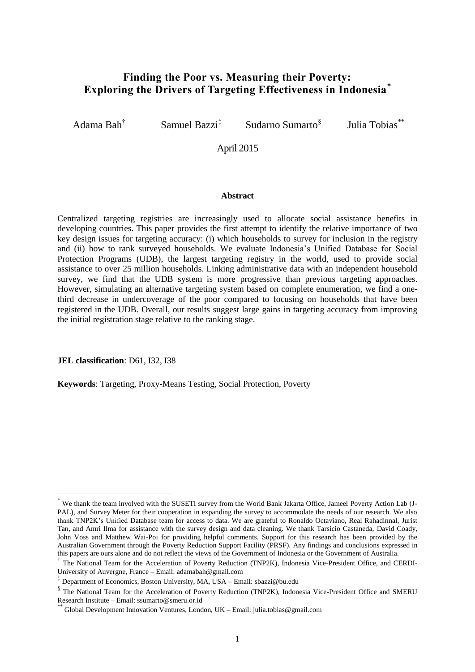### **Finding the Poor vs. Measuring their Poverty: Exploring the Drivers of Targeting Effectiveness in Indonesia\***

Adama Bah†

Samuel Bazzi<sup>‡</sup>

Sudarno Sumarto§

Julia Tobias\*\*

### April 2015

#### **Abstract**

Centralized targeting registries are increasingly used to allocate social assistance benefits in developing countries. This paper provides the first attempt to identify the relative importance of two key design issues for targeting accuracy: (i) which households to survey for inclusion in the registry and (ii) how to rank surveyed households. We evaluate Indonesia's Unified Database for Social Protection Programs (UDB), the largest targeting registry in the world, used to provide social assistance to over 25 million households. Linking administrative data with an independent household survey, we find that the UDB system is more progressive than previous targeting approaches. However, simulating an alternative targeting system based on complete enumeration, we find a onethird decrease in undercoverage of the poor compared to focusing on households that have been registered in the UDB. Overall, our results suggest large gains in targeting accuracy from improving the initial registration stage relative to the ranking stage.

**JEL classification**: D61, I32, I38

-

**Keywords**: Targeting, Proxy-Means Testing, Social Protection, Poverty

We thank the team involved with the SUSETI survey from the World Bank Jakarta Office, Jameel Poverty Action Lab (J-PAL), and Survey Meter for their cooperation in expanding the survey to accommodate the needs of our research. We also thank TNP2K's Unified Database team for access to data. We are grateful to Ronaldo Octaviano, Real Rahadinnal, Jurist Tan, and Amri Ilma for assistance with the survey design and data cleaning. We thank Tarsicio Castaneda, David Coady, John Voss and Matthew Wai-Poi for providing helpful comments. Support for this research has been provided by the Australian Government through the Poverty Reduction Support Facility (PRSF). Any findings and conclusions expressed in this papers are ours alone and do not reflect the views of the Government of Indonesia or the Government of Australia.

<sup>†</sup> The National Team for the Acceleration of Poverty Reduction (TNP2K), Indonesia Vice-President Office, and CERDI-University of Auvergne, France – Email: adamabah@gmail.com

<sup>‡</sup> Department of Economics, Boston University, MA, USA – Email: sbazzi@bu.edu

<sup>§</sup> The National Team for the Acceleration of Poverty Reduction (TNP2K), Indonesia Vice-President Office and SMERU Research Institute – Email: ssumarto@smeru.or.id

<sup>\*&</sup>lt;br>\* Global Development Innovation Ventures, London, UK – Email: julia.tobias@gmail.com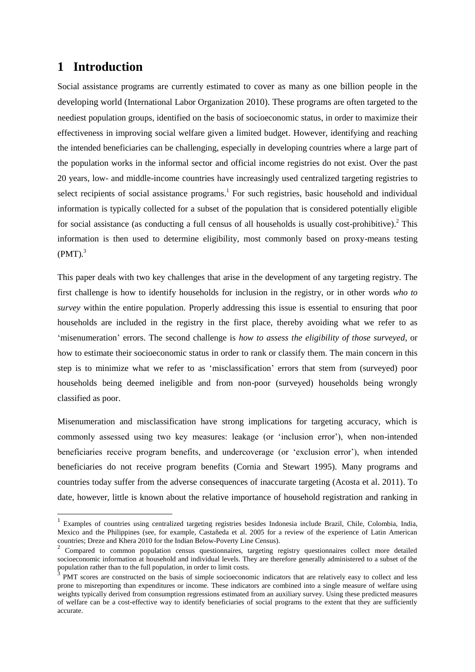# **1 Introduction**

1

Social assistance programs are currently estimated to cover as many as one billion people in the developing world (International Labor Organization 2010). These programs are often targeted to the neediest population groups, identified on the basis of socioeconomic status, in order to maximize their effectiveness in improving social welfare given a limited budget. However, identifying and reaching the intended beneficiaries can be challenging, especially in developing countries where a large part of the population works in the informal sector and official income registries do not exist. Over the past 20 years, low- and middle-income countries have increasingly used centralized targeting registries to select recipients of social assistance programs.<sup>1</sup> For such registries, basic household and individual information is typically collected for a subset of the population that is considered potentially eligible for social assistance (as conducting a full census of all households is usually cost-prohibitive).<sup>2</sup> This information is then used to determine eligibility, most commonly based on proxy-means testing  $(PMT)<sup>3</sup>$ 

This paper deals with two key challenges that arise in the development of any targeting registry. The first challenge is how to identify households for inclusion in the registry, or in other words *who to survey* within the entire population. Properly addressing this issue is essential to ensuring that poor households are included in the registry in the first place, thereby avoiding what we refer to as 'misenumeration' errors. The second challenge is *how to assess the eligibility of those surveyed*, or how to estimate their socioeconomic status in order to rank or classify them. The main concern in this step is to minimize what we refer to as 'misclassification' errors that stem from (surveyed) poor households being deemed ineligible and from non-poor (surveyed) households being wrongly classified as poor.

Misenumeration and misclassification have strong implications for targeting accuracy, which is commonly assessed using two key measures: leakage (or 'inclusion error'), when non-intended beneficiaries receive program benefits, and undercoverage (or 'exclusion error'), when intended beneficiaries do not receive program benefits (Cornia and Stewart 1995). Many programs and countries today suffer from the adverse consequences of inaccurate targeting (Acosta et al. 2011). To date, however, little is known about the relative importance of household registration and ranking in

<sup>&</sup>lt;sup>1</sup> Examples of countries using centralized targeting registries besides Indonesia include Brazil, Chile, Colombia, India, Mexico and the Philippines (see, for example, Castañeda et al. 2005 for a review of the experience of Latin American countries; Dreze and Khera 2010 for the Indian Below-Poverty Line Census). 2

Compared to common population census questionnaires, targeting registry questionnaires collect more detailed socioeconomic information at household and individual levels. They are therefore generally administered to a subset of the population rather than to the full population, in order to limit costs.<br>3 **DMT** cases are constructed at the hosts of simple assistances

PMT scores are constructed on the basis of simple socioeconomic indicators that are relatively easy to collect and less prone to misreporting than expenditures or income. These indicators are combined into a single measure of welfare using weights typically derived from consumption regressions estimated from an auxiliary survey. Using these predicted measures of welfare can be a cost-effective way to identify beneficiaries of social programs to the extent that they are sufficiently accurate.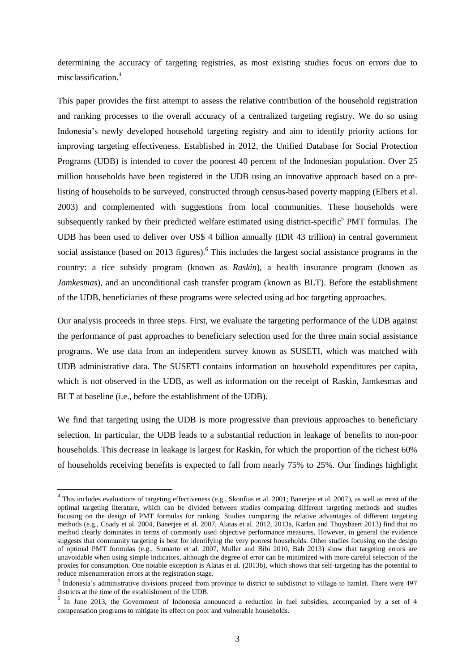determining the accuracy of targeting registries, as most existing studies focus on errors due to misclassification. 4

This paper provides the first attempt to assess the relative contribution of the household registration and ranking processes to the overall accuracy of a centralized targeting registry. We do so using Indonesia's newly developed household targeting registry and aim to identify priority actions for improving targeting effectiveness. Established in 2012, the Unified Database for Social Protection Programs (UDB) is intended to cover the poorest 40 percent of the Indonesian population. Over 25 million households have been registered in the UDB using an innovative approach based on a prelisting of households to be surveyed, constructed through census-based poverty mapping (Elbers et al. 2003) and complemented with suggestions from local communities. These households were subsequently ranked by their predicted welfare estimated using district-specific<sup>5</sup> PMT formulas. The UDB has been used to deliver over US\$ 4 billion annually (IDR 43 trillion) in central government social assistance (based on 2013 figures).<sup>6</sup> This includes the largest social assistance programs in the country: a rice subsidy program (known as *Raskin*), a health insurance program (known as *Jamkesmas*), and an unconditional cash transfer program (known as BLT). Before the establishment of the UDB, beneficiaries of these programs were selected using ad hoc targeting approaches.

Our analysis proceeds in three steps. First, we evaluate the targeting performance of the UDB against the performance of past approaches to beneficiary selection used for the three main social assistance programs. We use data from an independent survey known as SUSETI, which was matched with UDB administrative data. The SUSETI contains information on household expenditures per capita, which is not observed in the UDB, as well as information on the receipt of Raskin, Jamkesmas and BLT at baseline (i.e., before the establishment of the UDB).

We find that targeting using the UDB is more progressive than previous approaches to beneficiary selection. In particular, the UDB leads to a substantial reduction in leakage of benefits to non-poor households. This decrease in leakage is largest for Raskin, for which the proportion of the richest 60% of households receiving benefits is expected to fall from nearly 75% to 25%. Our findings highlight

<sup>&</sup>lt;sup>4</sup> This includes evaluations of targeting effectiveness (e.g., Skoufias et al. 2001; Banerjee et al. 2007), as well as most of the optimal targeting literature, which can be divided between studies comparing different targeting methods and studies focusing on the design of PMT formulas for ranking. Studies comparing the relative advantages of different targeting methods (e.g., Coady et al. 2004, Banerjee et al. 2007, Alatas et al. 2012, 2013a, Karlan and Thuysbaert 2013) find that no method clearly dominates in terms of commonly used objective performance measures. However, in general the evidence suggests that community targeting is best for identifying the very poorest households. Other studies focusing on the design of optimal PMT formulas (e.g., Sumarto et al. 2007, Muller and Bibi 2010, Bah 2013) show that targeting errors are unavoidable when using simple indicators, although the degree of error can be minimized with more careful selection of the proxies for consumption. One notable exception is Alatas et al. (2013b), which shows that self-targeting has the potential to reduce misenumeration errors at the registration stage.<br><sup>5</sup> Indonesia's administrative divisions proceed from province to district to subdistrict to village to hamlet. There were 497

districts at the time of the establishment of the UDB.

<sup>&</sup>lt;sup>6</sup> In June 2013, the Government of Indonesia announced a reduction in fuel subsidies, accompanied by a set of 4 compensation programs to mitigate its effect on poor and vulnerable households.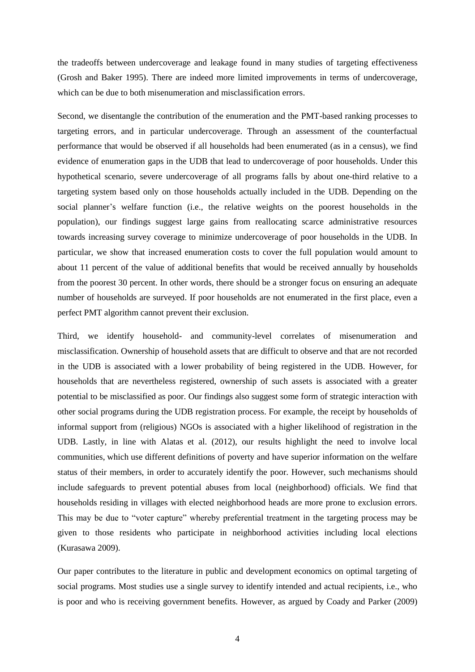the tradeoffs between undercoverage and leakage found in many studies of targeting effectiveness (Grosh and Baker 1995). There are indeed more limited improvements in terms of undercoverage, which can be due to both misenumeration and misclassification errors.

Second, we disentangle the contribution of the enumeration and the PMT-based ranking processes to targeting errors, and in particular undercoverage. Through an assessment of the counterfactual performance that would be observed if all households had been enumerated (as in a census), we find evidence of enumeration gaps in the UDB that lead to undercoverage of poor households. Under this hypothetical scenario, severe undercoverage of all programs falls by about one-third relative to a targeting system based only on those households actually included in the UDB. Depending on the social planner's welfare function (i.e., the relative weights on the poorest households in the population), our findings suggest large gains from reallocating scarce administrative resources towards increasing survey coverage to minimize undercoverage of poor households in the UDB. In particular, we show that increased enumeration costs to cover the full population would amount to about 11 percent of the value of additional benefits that would be received annually by households from the poorest 30 percent. In other words, there should be a stronger focus on ensuring an adequate number of households are surveyed. If poor households are not enumerated in the first place, even a perfect PMT algorithm cannot prevent their exclusion.

Third, we identify household- and community-level correlates of misenumeration and misclassification. Ownership of household assets that are difficult to observe and that are not recorded in the UDB is associated with a lower probability of being registered in the UDB. However, for households that are nevertheless registered, ownership of such assets is associated with a greater potential to be misclassified as poor. Our findings also suggest some form of strategic interaction with other social programs during the UDB registration process. For example, the receipt by households of informal support from (religious) NGOs is associated with a higher likelihood of registration in the UDB. Lastly, in line with Alatas et al. (2012), our results highlight the need to involve local communities, which use different definitions of poverty and have superior information on the welfare status of their members, in order to accurately identify the poor. However, such mechanisms should include safeguards to prevent potential abuses from local (neighborhood) officials. We find that households residing in villages with elected neighborhood heads are more prone to exclusion errors. This may be due to "voter capture" whereby preferential treatment in the targeting process may be given to those residents who participate in neighborhood activities including local elections (Kurasawa 2009).

Our paper contributes to the literature in public and development economics on optimal targeting of social programs. Most studies use a single survey to identify intended and actual recipients, i.e., who is poor and who is receiving government benefits. However, as argued by Coady and Parker (2009)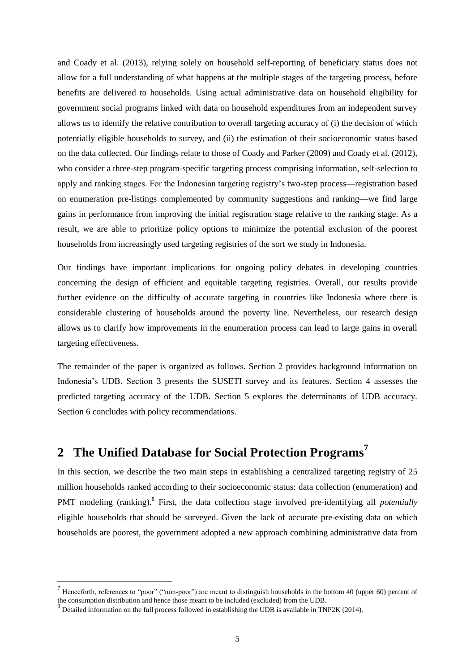and Coady et al. (2013), relying solely on household self-reporting of beneficiary status does not allow for a full understanding of what happens at the multiple stages of the targeting process, before benefits are delivered to households. Using actual administrative data on household eligibility for government social programs linked with data on household expenditures from an independent survey allows us to identify the relative contribution to overall targeting accuracy of (i) the decision of which potentially eligible households to survey, and (ii) the estimation of their socioeconomic status based on the data collected. Our findings relate to those of Coady and Parker (2009) and Coady et al. (2012), who consider a three-step program-specific targeting process comprising information, self-selection to apply and ranking stages. For the Indonesian targeting registry's two-step process—registration based on enumeration pre-listings complemented by community suggestions and ranking—we find large gains in performance from improving the initial registration stage relative to the ranking stage. As a result, we are able to prioritize policy options to minimize the potential exclusion of the poorest households from increasingly used targeting registries of the sort we study in Indonesia.

Our findings have important implications for ongoing policy debates in developing countries concerning the design of efficient and equitable targeting registries. Overall, our results provide further evidence on the difficulty of accurate targeting in countries like Indonesia where there is considerable clustering of households around the poverty line. Nevertheless, our research design allows us to clarify how improvements in the enumeration process can lead to large gains in overall targeting effectiveness.

The remainder of the paper is organized as follows. Section 2 provides background information on Indonesia's UDB. Section 3 presents the SUSETI survey and its features. Section 4 assesses the predicted targeting accuracy of the UDB. Section 5 explores the determinants of UDB accuracy. Section 6 concludes with policy recommendations.

# **2 The Unified Database for Social Protection Programs<sup>7</sup>**

In this section, we describe the two main steps in establishing a centralized targeting registry of 25 million households ranked according to their socioeconomic status: data collection (enumeration) and PMT modeling (ranking).<sup>8</sup> First, the data collection stage involved pre-identifying all *potentially* eligible households that should be surveyed. Given the lack of accurate pre-existing data on which households are poorest, the government adopted a new approach combining administrative data from

<sup>7</sup> Henceforth, references to "poor" ("non-poor") are meant to distinguish households in the bottom 40 (upper 60) percent of the consumption distribution and hence those meant to be included (excluded) from the UDB.

 $8$  Detailed information on the full process followed in establishing the UDB is available in TNP2K (2014).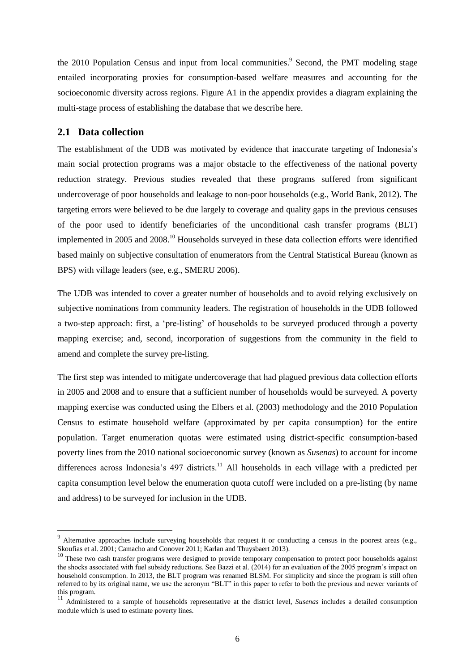the 2010 Population Census and input from local communities.<sup>9</sup> Second, the PMT modeling stage entailed incorporating proxies for consumption-based welfare measures and accounting for the socioeconomic diversity across regions. Figure A1 in the appendix provides a diagram explaining the multi-stage process of establishing the database that we describe here.

### **2.1 Data collection**

1

The establishment of the UDB was motivated by evidence that inaccurate targeting of Indonesia's main social protection programs was a major obstacle to the effectiveness of the national poverty reduction strategy. Previous studies revealed that these programs suffered from significant undercoverage of poor households and leakage to non-poor households (e.g., World Bank, 2012). The targeting errors were believed to be due largely to coverage and quality gaps in the previous censuses of the poor used to identify beneficiaries of the unconditional cash transfer programs (BLT) implemented in 2005 and 2008.<sup>10</sup> Households surveyed in these data collection efforts were identified based mainly on subjective consultation of enumerators from the Central Statistical Bureau (known as BPS) with village leaders (see, e.g., SMERU 2006).

The UDB was intended to cover a greater number of households and to avoid relying exclusively on subjective nominations from community leaders. The registration of households in the UDB followed a two-step approach: first, a 'pre-listing' of households to be surveyed produced through a poverty mapping exercise; and, second, incorporation of suggestions from the community in the field to amend and complete the survey pre-listing.

The first step was intended to mitigate undercoverage that had plagued previous data collection efforts in 2005 and 2008 and to ensure that a sufficient number of households would be surveyed. A poverty mapping exercise was conducted using the Elbers et al. (2003) methodology and the 2010 Population Census to estimate household welfare (approximated by per capita consumption) for the entire population. Target enumeration quotas were estimated using district-specific consumption-based poverty lines from the 2010 national socioeconomic survey (known as *Susenas*) to account for income differences across Indonesia's 497 districts.<sup>11</sup> All households in each village with a predicted per capita consumption level below the enumeration quota cutoff were included on a pre-listing (by name and address) to be surveyed for inclusion in the UDB.

<sup>&</sup>lt;sup>9</sup> Alternative approaches include surveying households that request it or conducting a census in the poorest areas (e.g., Skoufias et al. 2001; Camacho and Conover 2011; Karlan and Thuysbaert 2013).

<sup>10</sup> These two cash transfer programs were designed to provide temporary compensation to protect poor households against the shocks associated with fuel subsidy reductions. See Bazzi et al. (2014) for an evaluation of the 2005 program's impact on household consumption. In 2013, the BLT program was renamed BLSM. For simplicity and since the program is still often referred to by its original name, we use the acronym "BLT" in this paper to refer to both the previous and newer variants of this program.

<sup>11</sup> Administered to a sample of households representative at the district level, *Susenas* includes a detailed consumption module which is used to estimate poverty lines.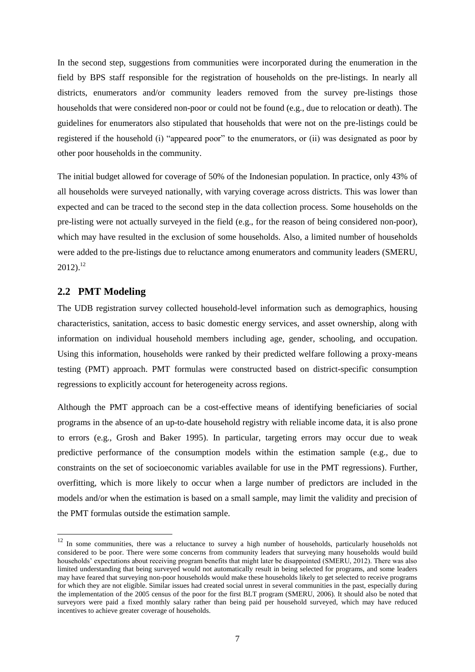In the second step, suggestions from communities were incorporated during the enumeration in the field by BPS staff responsible for the registration of households on the pre-listings. In nearly all districts, enumerators and/or community leaders removed from the survey pre-listings those households that were considered non-poor or could not be found (e.g., due to relocation or death). The guidelines for enumerators also stipulated that households that were not on the pre-listings could be registered if the household (i) "appeared poor" to the enumerators, or (ii) was designated as poor by other poor households in the community.

The initial budget allowed for coverage of 50% of the Indonesian population. In practice, only 43% of all households were surveyed nationally, with varying coverage across districts. This was lower than expected and can be traced to the second step in the data collection process. Some households on the pre-listing were not actually surveyed in the field (e.g., for the reason of being considered non-poor), which may have resulted in the exclusion of some households. Also, a limited number of households were added to the pre-listings due to reluctance among enumerators and community leaders (SMERU,  $2012$ ).<sup>12</sup>

### **2.2 PMT Modeling**

-

The UDB registration survey collected household-level information such as demographics, housing characteristics, sanitation, access to basic domestic energy services, and asset ownership, along with information on individual household members including age, gender, schooling, and occupation. Using this information, households were ranked by their predicted welfare following a proxy-means testing (PMT) approach. PMT formulas were constructed based on district-specific consumption regressions to explicitly account for heterogeneity across regions.

Although the PMT approach can be a cost-effective means of identifying beneficiaries of social programs in the absence of an up-to-date household registry with reliable income data, it is also prone to errors (e.g., Grosh and Baker 1995). In particular, targeting errors may occur due to weak predictive performance of the consumption models within the estimation sample (e.g., due to constraints on the set of socioeconomic variables available for use in the PMT regressions). Further, overfitting, which is more likely to occur when a large number of predictors are included in the models and/or when the estimation is based on a small sample, may limit the validity and precision of the PMT formulas outside the estimation sample.

 $12$  In some communities, there was a reluctance to survey a high number of households, particularly households not considered to be poor. There were some concerns from community leaders that surveying many households would build households' expectations about receiving program benefits that might later be disappointed (SMERU, 2012). There was also limited understanding that being surveyed would not automatically result in being selected for programs, and some leaders may have feared that surveying non-poor households would make these households likely to get selected to receive programs for which they are not eligible. Similar issues had created social unrest in several communities in the past, especially during the implementation of the 2005 census of the poor for the first BLT program (SMERU, 2006). It should also be noted that surveyors were paid a fixed monthly salary rather than being paid per household surveyed, which may have reduced incentives to achieve greater coverage of households.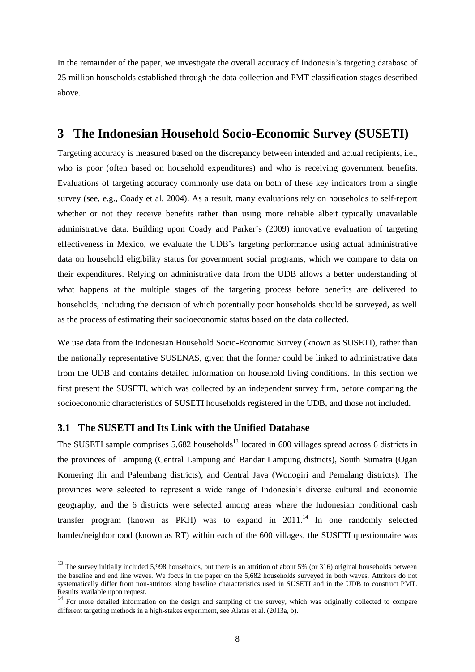In the remainder of the paper, we investigate the overall accuracy of Indonesia's targeting database of 25 million households established through the data collection and PMT classification stages described above.

### **3 The Indonesian Household Socio-Economic Survey (SUSETI)**

Targeting accuracy is measured based on the discrepancy between intended and actual recipients, i.e., who is poor (often based on household expenditures) and who is receiving government benefits. Evaluations of targeting accuracy commonly use data on both of these key indicators from a single survey (see, e.g., Coady et al. 2004). As a result, many evaluations rely on households to self-report whether or not they receive benefits rather than using more reliable albeit typically unavailable administrative data. Building upon Coady and Parker's (2009) innovative evaluation of targeting effectiveness in Mexico, we evaluate the UDB's targeting performance using actual administrative data on household eligibility status for government social programs, which we compare to data on their expenditures. Relying on administrative data from the UDB allows a better understanding of what happens at the multiple stages of the targeting process before benefits are delivered to households, including the decision of which potentially poor households should be surveyed, as well as the process of estimating their socioeconomic status based on the data collected.

We use data from the Indonesian Household Socio-Economic Survey (known as SUSETI), rather than the nationally representative SUSENAS, given that the former could be linked to administrative data from the UDB and contains detailed information on household living conditions. In this section we first present the SUSETI, which was collected by an independent survey firm, before comparing the socioeconomic characteristics of SUSETI households registered in the UDB, and those not included.

### **3.1 The SUSETI and Its Link with the Unified Database**

1

The SUSETI sample comprises  $5,682$  households<sup>13</sup> located in 600 villages spread across 6 districts in the provinces of Lampung (Central Lampung and Bandar Lampung districts), South Sumatra (Ogan Komering Ilir and Palembang districts), and Central Java (Wonogiri and Pemalang districts). The provinces were selected to represent a wide range of Indonesia's diverse cultural and economic geography, and the 6 districts were selected among areas where the Indonesian conditional cash transfer program (known as PKH) was to expand in  $2011$ .<sup>14</sup> In one randomly selected hamlet/neighborhood (known as RT) within each of the 600 villages, the SUSETI questionnaire was

 $13$  The survey initially included 5,998 households, but there is an attrition of about 5% (or 316) original households between the baseline and end line waves. We focus in the paper on the 5,682 households surveyed in both waves. Attritors do not systematically differ from non-attritors along baseline characteristics used in SUSETI and in the UDB to construct PMT. Results available upon request.

<sup>&</sup>lt;sup>14</sup> For more detailed information on the design and sampling of the survey, which was originally collected to compare different targeting methods in a high-stakes experiment, see Alatas et al. (2013a, b).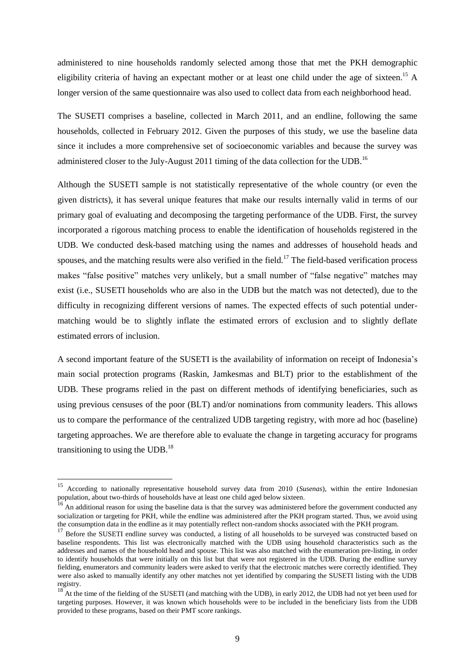administered to nine households randomly selected among those that met the PKH demographic eligibility criteria of having an expectant mother or at least one child under the age of sixteen.<sup>15</sup> A longer version of the same questionnaire was also used to collect data from each neighborhood head.

The SUSETI comprises a baseline, collected in March 2011, and an endline, following the same households, collected in February 2012. Given the purposes of this study, we use the baseline data since it includes a more comprehensive set of socioeconomic variables and because the survey was administered closer to the July-August 2011 timing of the data collection for the UDB.<sup>16</sup>

Although the SUSETI sample is not statistically representative of the whole country (or even the given districts), it has several unique features that make our results internally valid in terms of our primary goal of evaluating and decomposing the targeting performance of the UDB. First, the survey incorporated a rigorous matching process to enable the identification of households registered in the UDB. We conducted desk-based matching using the names and addresses of household heads and spouses, and the matching results were also verified in the field.<sup>17</sup> The field-based verification process makes "false positive" matches very unlikely, but a small number of "false negative" matches may exist (i.e., SUSETI households who are also in the UDB but the match was not detected), due to the difficulty in recognizing different versions of names. The expected effects of such potential undermatching would be to slightly inflate the estimated errors of exclusion and to slightly deflate estimated errors of inclusion.

A second important feature of the SUSETI is the availability of information on receipt of Indonesia's main social protection programs (Raskin, Jamkesmas and BLT) prior to the establishment of the UDB. These programs relied in the past on different methods of identifying beneficiaries, such as using previous censuses of the poor (BLT) and/or nominations from community leaders. This allows us to compare the performance of the centralized UDB targeting registry, with more ad hoc (baseline) targeting approaches. We are therefore able to evaluate the change in targeting accuracy for programs transitioning to using the UDB. $^{18}$ 

<sup>15</sup> According to nationally representative household survey data from 2010 (*Susenas*), within the entire Indonesian population, about two-thirds of households have at least one child aged below sixteen.

An additional reason for using the baseline data is that the survey was administered before the government conducted any socialization or targeting for PKH, while the endline was administered after the PKH program started. Thus, we avoid using the consumption data in the endline as it may potentially reflect non-random shocks associated with the PKH program.

<sup>17</sup> Before the SUSETI endline survey was conducted, a listing of all households to be surveyed was constructed based on baseline respondents. This list was electronically matched with the UDB using household characteristics such as the addresses and names of the household head and spouse. This list was also matched with the enumeration pre-listing, in order to identify households that were initially on this list but that were not registered in the UDB. During the endline survey fielding, enumerators and community leaders were asked to verify that the electronic matches were correctly identified. They were also asked to manually identify any other matches not yet identified by comparing the SUSETI listing with the UDB registry.

<sup>&</sup>lt;sup>18</sup> At the time of the fielding of the SUSETI (and matching with the UDB), in early 2012, the UDB had not yet been used for targeting purposes. However, it was known which households were to be included in the beneficiary lists from the UDB provided to these programs, based on their PMT score rankings.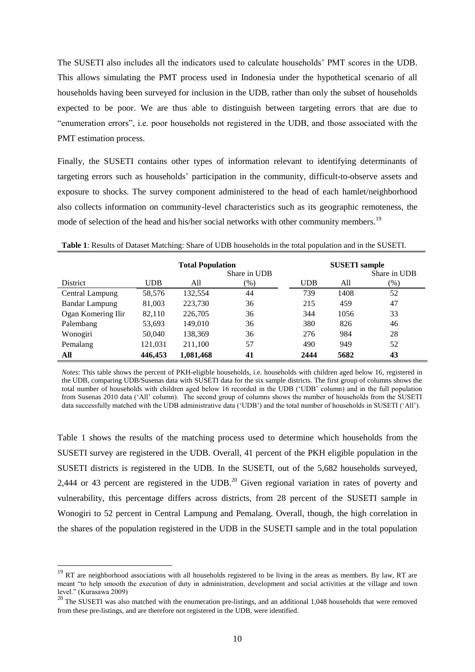The SUSETI also includes all the indicators used to calculate households' PMT scores in the UDB. This allows simulating the PMT process used in Indonesia under the hypothetical scenario of all households having been surveyed for inclusion in the UDB, rather than only the subset of households expected to be poor. We are thus able to distinguish between targeting errors that are due to "enumeration errors", i.e. poor households not registered in the UDB, and those associated with the PMT estimation process.

Finally, the SUSETI contains other types of information relevant to identifying determinants of targeting errors such as households' participation in the community, difficult-to-observe assets and exposure to shocks. The survey component administered to the head of each hamlet/neighborhood also collects information on community-level characteristics such as its geographic remoteness, the mode of selection of the head and his/her social networks with other community members.<sup>19</sup>

|                       |            | <b>Total Population</b> | Share in UDB |            | <b>SUSETI</b> sample | Share in UDB |
|-----------------------|------------|-------------------------|--------------|------------|----------------------|--------------|
| District              | <b>UDB</b> | All                     | $(\% )$      | <b>UDB</b> | All                  | (%)          |
| Central Lampung       | 58,576     | 132,554                 | 44           | 739        | 1408                 | 52           |
| <b>Bandar Lampung</b> | 81,003     | 223,730                 | 36           | 215        | 459                  | 47           |
| Ogan Komering Ilir    | 82,110     | 226,705                 | 36           | 344        | 1056                 | 33           |
| Palembang             | 53,693     | 149,010                 | 36           | 380        | 826                  | 46           |
| Wonogiri              | 50,040     | 138,369                 | 36           | 276        | 984                  | 28           |
| Pemalang              | 121,031    | 211,100                 | 57           | 490        | 949                  | 52           |
| All                   | 446,453    | 1,081,468               | 41           | 2444       | 5682                 | 43           |

**Table 1**: Results of Dataset Matching: Share of UDB households in the total population and in the SUSETI.

*Notes*: This table shows the percent of PKH-eligible households, i.e. households with children aged below 16, registered in the UDB, comparing UDB/Susenas data with SUSETI data for the six sample districts. The first group of columns shows the total number of households with children aged below 16 recorded in the UDB ('UDB' column) and in the full population from Susenas 2010 data ('All' column). The second group of columns shows the number of households from the SUSETI data successfully matched with the UDB administrative data ('UDB') and the total number of households in SUSETI ('All').

Table 1 shows the results of the matching process used to determine which households from the SUSETI survey are registered in the UDB. Overall, 41 percent of the PKH eligible population in the SUSETI districts is registered in the UDB. In the SUSETI, out of the 5,682 households surveyed, 2,444 or 43 percent are registered in the UDB.<sup>20</sup> Given regional variation in rates of poverty and vulnerability, this percentage differs across districts, from 28 percent of the SUSETI sample in Wonogiri to 52 percent in Central Lampung and Pemalang. Overall, though, the high correlation in the shares of the population registered in the UDB in the SUSETI sample and in the total population

 $19$  RT are neighborhood associations with all households registered to be living in the areas as members. By law, RT are meant "to help smooth the execution of duty in administration, development and social activities at the village and town level." (Kurasawa 2009)

<sup>&</sup>lt;sup>20</sup> The SUSETI was also matched with the enumeration pre-listings, and an additional 1,048 households that were removed from these pre-listings, and are therefore not registered in the UDB, were identified.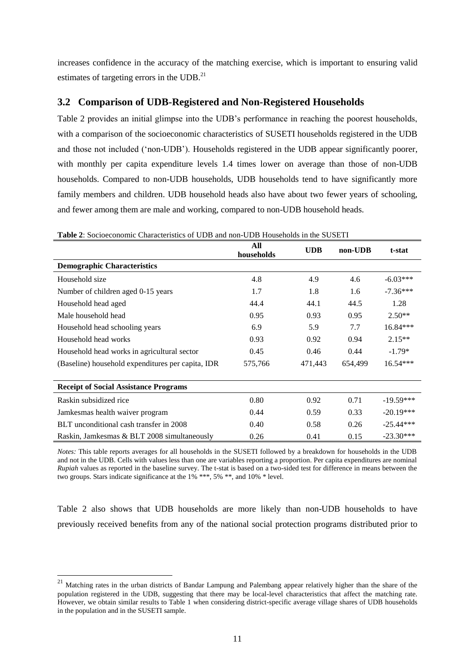increases confidence in the accuracy of the matching exercise, which is important to ensuring valid estimates of targeting errors in the UDB.<sup>21</sup>

### **3.2 Comparison of UDB-Registered and Non-Registered Households**

Table 2 provides an initial glimpse into the UDB's performance in reaching the poorest households, with a comparison of the socioeconomic characteristics of SUSETI households registered in the UDB and those not included ('non-UDB'). Households registered in the UDB appear significantly poorer, with monthly per capita expenditure levels 1.4 times lower on average than those of non-UDB households. Compared to non-UDB households, UDB households tend to have significantly more family members and children. UDB household heads also have about two fewer years of schooling, and fewer among them are male and working, compared to non-UDB household heads.

|                                                   | All<br>households | <b>UDB</b> | non-UDB | t-stat      |
|---------------------------------------------------|-------------------|------------|---------|-------------|
| <b>Demographic Characteristics</b>                |                   |            |         |             |
| Household size                                    | 4.8               | 4.9        | 4.6     | $-6.03***$  |
| Number of children aged 0-15 years                | 1.7               | 1.8        | 1.6     | $-7.36***$  |
| Household head aged                               | 44.4              | 44.1       | 44.5    | 1.28        |
| Male household head                               | 0.95              | 0.93       | 0.95    | $2.50**$    |
| Household head schooling years                    | 6.9               | 5.9        | 7.7     | $16.84***$  |
| Household head works                              | 0.93              | 0.92       | 0.94    | $2.15**$    |
| Household head works in agricultural sector       | 0.45              | 0.46       | 0.44    | $-1.79*$    |
| (Baseline) household expenditures per capita, IDR | 575,766           | 471,443    | 654,499 | $16.54***$  |
| <b>Receipt of Social Assistance Programs</b>      |                   |            |         |             |
| Raskin subsidized rice                            | 0.80              | 0.92       | 0.71    | $-19.59***$ |
| Jamkesmas health waiver program                   | 0.44              | 0.59       | 0.33    | $-20.19***$ |
| BLT unconditional cash transfer in 2008           | 0.40              | 0.58       | 0.26    | $-25.44***$ |
| Raskin, Jamkesmas & BLT 2008 simultaneously       | 0.26              | 0.41       | 0.15    | $-23.30***$ |

**Table 2**: Socioeconomic Characteristics of UDB and non-UDB Households in the SUSETI

*Notes:* This table reports averages for all households in the SUSETI followed by a breakdown for households in the UDB and not in the UDB. Cells with values less than one are variables reporting a proportion. Per capita expenditures are nominal *Rupiah* values as reported in the baseline survey. The t-stat is based on a two-sided test for difference in means between the two groups. Stars indicate significance at the 1% \*\*\*, 5% \*\*, and 10% \* level.

Table 2 also shows that UDB households are more likely than non-UDB households to have previously received benefits from any of the national social protection programs distributed prior to

-

 $21$  Matching rates in the urban districts of Bandar Lampung and Palembang appear relatively higher than the share of the population registered in the UDB, suggesting that there may be local-level characteristics that affect the matching rate. However, we obtain similar results to Table 1 when considering district-specific average village shares of UDB households in the population and in the SUSETI sample.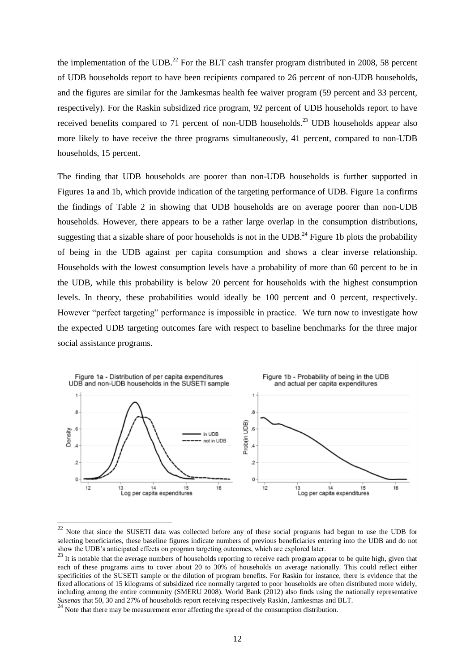the implementation of the UDB.<sup>22</sup> For the BLT cash transfer program distributed in 2008, 58 percent of UDB households report to have been recipients compared to 26 percent of non-UDB households, and the figures are similar for the Jamkesmas health fee waiver program (59 percent and 33 percent, respectively). For the Raskin subsidized rice program, 92 percent of UDB households report to have received benefits compared to 71 percent of non-UDB households.<sup>23</sup> UDB households appear also more likely to have receive the three programs simultaneously, 41 percent, compared to non-UDB households, 15 percent.

The finding that UDB households are poorer than non-UDB households is further supported in Figures 1a and 1b, which provide indication of the targeting performance of UDB. Figure 1a confirms the findings of Table 2 in showing that UDB households are on average poorer than non-UDB households. However, there appears to be a rather large overlap in the consumption distributions, suggesting that a sizable share of poor households is not in the UDB.<sup>24</sup> Figure 1b plots the probability of being in the UDB against per capita consumption and shows a clear inverse relationship. Households with the lowest consumption levels have a probability of more than 60 percent to be in the UDB, while this probability is below 20 percent for households with the highest consumption levels. In theory, these probabilities would ideally be 100 percent and 0 percent, respectively. However "perfect targeting" performance is impossible in practice. We turn now to investigate how the expected UDB targeting outcomes fare with respect to baseline benchmarks for the three major social assistance programs.



 $22$  Note that since the SUSETI data was collected before any of these social programs had begun to use the UDB for selecting beneficiaries, these baseline figures indicate numbers of previous beneficiaries entering into the UDB and do not show the UDB's anticipated effects on program targeting outcomes, which are explored later.

-

<sup>&</sup>lt;sup>23</sup> It is notable that the average numbers of households reporting to receive each program appear to be quite high, given that each of these programs aims to cover about 20 to 30% of households on average nationally. This could reflect either specificities of the SUSETI sample or the dilution of program benefits. For Raskin for instance, there is evidence that the fixed allocations of 15 kilograms of subsidized rice normally targeted to poor households are often distributed more widely, including among the entire community (SMERU 2008). World Bank (2012) also finds using the nationally representative *Susenas* that 50, 30 and 27% of households report receiving respectively Raskin, Jamkesmas and BLT.

<sup>&</sup>lt;sup>24</sup> Note that there may be measurement error affecting the spread of the consumption distribution.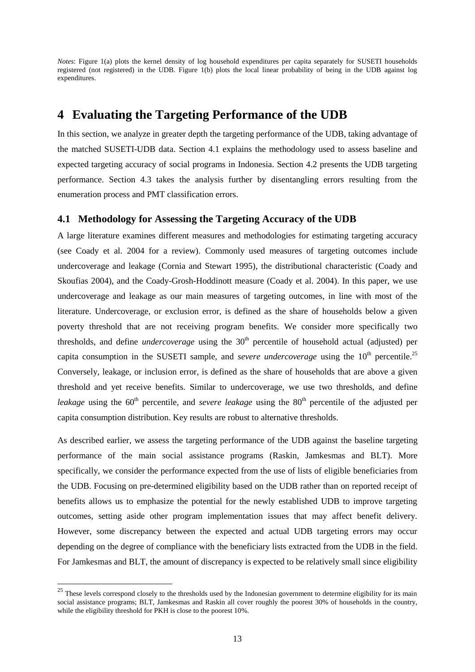*Notes*: Figure 1(a) plots the kernel density of log household expenditures per capita separately for SUSETI households registered (not registered) in the UDB. Figure 1(b) plots the local linear probability of being in the UDB against log expenditures.

## **4 Evaluating the Targeting Performance of the UDB**

In this section, we analyze in greater depth the targeting performance of the UDB, taking advantage of the matched SUSETI-UDB data. Section 4.1 explains the methodology used to assess baseline and expected targeting accuracy of social programs in Indonesia. Section 4.2 presents the UDB targeting performance. Section 4.3 takes the analysis further by disentangling errors resulting from the enumeration process and PMT classification errors.

### **4.1 Methodology for Assessing the Targeting Accuracy of the UDB**

A large literature examines different measures and methodologies for estimating targeting accuracy (see Coady et al. 2004 for a review). Commonly used measures of targeting outcomes include undercoverage and leakage (Cornia and Stewart 1995), the distributional characteristic (Coady and Skoufias 2004), and the Coady-Grosh-Hoddinott measure (Coady et al. 2004). In this paper, we use undercoverage and leakage as our main measures of targeting outcomes, in line with most of the literature. Undercoverage, or exclusion error, is defined as the share of households below a given poverty threshold that are not receiving program benefits. We consider more specifically two thresholds, and define *undercoverage* using the 30<sup>th</sup> percentile of household actual (adjusted) per capita consumption in the SUSETI sample, and *severe undercoverage* using the 10<sup>th</sup> percentile.<sup>25</sup> Conversely, leakage, or inclusion error, is defined as the share of households that are above a given threshold and yet receive benefits. Similar to undercoverage, we use two thresholds, and define *leakage* using the  $60<sup>th</sup>$  percentile, and *severe leakage* using the  $80<sup>th</sup>$  percentile of the adjusted per capita consumption distribution. Key results are robust to alternative thresholds.

As described earlier, we assess the targeting performance of the UDB against the baseline targeting performance of the main social assistance programs (Raskin, Jamkesmas and BLT). More specifically, we consider the performance expected from the use of lists of eligible beneficiaries from the UDB. Focusing on pre-determined eligibility based on the UDB rather than on reported receipt of benefits allows us to emphasize the potential for the newly established UDB to improve targeting outcomes, setting aside other program implementation issues that may affect benefit delivery. However, some discrepancy between the expected and actual UDB targeting errors may occur depending on the degree of compliance with the beneficiary lists extracted from the UDB in the field. For Jamkesmas and BLT, the amount of discrepancy is expected to be relatively small since eligibility

<sup>&</sup>lt;sup>25</sup> These levels correspond closely to the thresholds used by the Indonesian government to determine eligibility for its main social assistance programs; BLT, Jamkesmas and Raskin all cover roughly the poorest 30% of households in the country, while the eligibility threshold for PKH is close to the poorest 10%.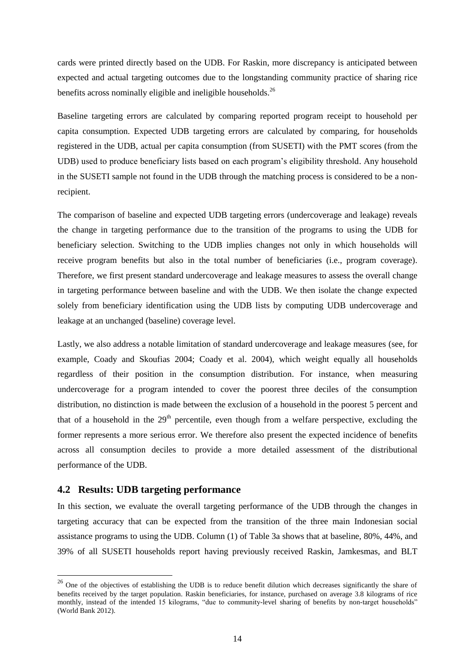cards were printed directly based on the UDB. For Raskin, more discrepancy is anticipated between expected and actual targeting outcomes due to the longstanding community practice of sharing rice benefits across nominally eligible and ineligible households.<sup>26</sup>

Baseline targeting errors are calculated by comparing reported program receipt to household per capita consumption. Expected UDB targeting errors are calculated by comparing, for households registered in the UDB, actual per capita consumption (from SUSETI) with the PMT scores (from the UDB) used to produce beneficiary lists based on each program's eligibility threshold. Any household in the SUSETI sample not found in the UDB through the matching process is considered to be a nonrecipient.

The comparison of baseline and expected UDB targeting errors (undercoverage and leakage) reveals the change in targeting performance due to the transition of the programs to using the UDB for beneficiary selection. Switching to the UDB implies changes not only in which households will receive program benefits but also in the total number of beneficiaries (i.e., program coverage). Therefore, we first present standard undercoverage and leakage measures to assess the overall change in targeting performance between baseline and with the UDB. We then isolate the change expected solely from beneficiary identification using the UDB lists by computing UDB undercoverage and leakage at an unchanged (baseline) coverage level.

Lastly, we also address a notable limitation of standard undercoverage and leakage measures (see, for example, Coady and Skoufias 2004; Coady et al. 2004), which weight equally all households regardless of their position in the consumption distribution. For instance, when measuring undercoverage for a program intended to cover the poorest three deciles of the consumption distribution, no distinction is made between the exclusion of a household in the poorest 5 percent and that of a household in the  $29<sup>th</sup>$  percentile, even though from a welfare perspective, excluding the former represents a more serious error. We therefore also present the expected incidence of benefits across all consumption deciles to provide a more detailed assessment of the distributional performance of the UDB.

### **4.2 Results: UDB targeting performance**

-

In this section, we evaluate the overall targeting performance of the UDB through the changes in targeting accuracy that can be expected from the transition of the three main Indonesian social assistance programs to using the UDB. Column (1) of Table 3a shows that at baseline, 80%, 44%, and 39% of all SUSETI households report having previously received Raskin, Jamkesmas, and BLT

<sup>&</sup>lt;sup>26</sup> One of the objectives of establishing the UDB is to reduce benefit dilution which decreases significantly the share of benefits received by the target population. Raskin beneficiaries, for instance, purchased on average 3.8 kilograms of rice monthly, instead of the intended 15 kilograms, "due to community-level sharing of benefits by non-target households" (World Bank 2012).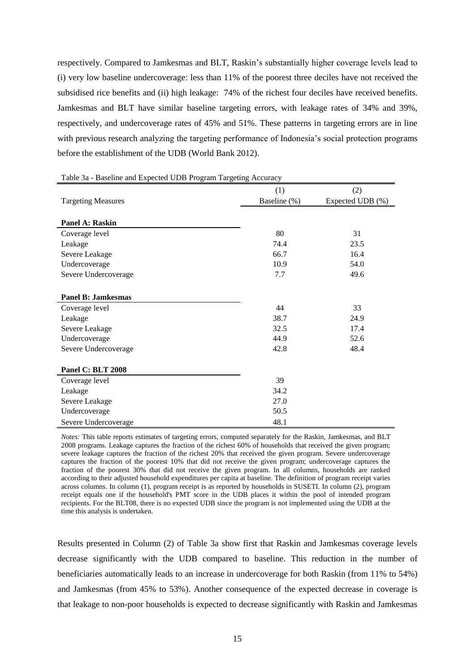respectively. Compared to Jamkesmas and BLT, Raskin's substantially higher coverage levels lead to (i) very low baseline undercoverage: less than 11% of the poorest three deciles have not received the subsidised rice benefits and (ii) high leakage: 74% of the richest four deciles have received benefits. Jamkesmas and BLT have similar baseline targeting errors, with leakage rates of 34% and 39%, respectively, and undercoverage rates of 45% and 51%. These patterns in targeting errors are in line with previous research analyzing the targeting performance of Indonesia's social protection programs before the establishment of the UDB (World Bank 2012).

|                           | (1)          | (2)              |
|---------------------------|--------------|------------------|
| <b>Targeting Measures</b> | Baseline (%) | Expected UDB (%) |
|                           |              |                  |
| Panel A: Raskin           |              |                  |
| Coverage level            | 80           | 31               |
| Leakage                   | 74.4         | 23.5             |
| Severe Leakage            | 66.7         | 16.4             |
| Undercoverage             | 10.9         | 54.0             |
| Severe Undercoverage      | 7.7          | 49.6             |
|                           |              |                  |
| <b>Panel B: Jamkesmas</b> |              |                  |
| Coverage level            | 44           | 33               |
| Leakage                   | 38.7         | 24.9             |
| Severe Leakage            | 32.5         | 17.4             |
| Undercoverage             | 44.9         | 52.6             |
| Severe Undercoverage      | 42.8         | 48.4             |
|                           |              |                  |
| <b>Panel C: BLT 2008</b>  |              |                  |
| Coverage level            | 39           |                  |
| Leakage                   | 34.2         |                  |
| Severe Leakage            | 27.0         |                  |
| Undercoverage             | 50.5         |                  |
| Severe Undercoverage      | 48.1         |                  |

Table 3a - Baseline and Expected UDB Program Targeting Accuracy

*Notes:* This table reports estimates of targeting errors, computed separately for the Raskin, Jamkesmas, and BLT 2008 programs. Leakage captures the fraction of the richest 60% of households that received the given program; severe leakage captures the fraction of the richest 20% that received the given program. Severe undercoverage captures the fraction of the poorest 10% that did not receive the given program; undercoverage captures the fraction of the poorest 30% that did not receive the given program. In all columns, households are ranked according to their adjusted household expenditures per capita at baseline. The definition of program receipt varies across columns. In column (1), program receipt is as reported by households in SUSETI. In column (2), program receipt equals one if the household's PMT score in the UDB places it within the pool of intended program recipients. For the BLT08, there is no expected UDB since the program is not implemented using the UDB at the time this analysis is undertaken.

Results presented in Column (2) of Table 3a show first that Raskin and Jamkesmas coverage levels decrease significantly with the UDB compared to baseline. This reduction in the number of beneficiaries automatically leads to an increase in undercoverage for both Raskin (from 11% to 54%) and Jamkesmas (from 45% to 53%). Another consequence of the expected decrease in coverage is that leakage to non-poor households is expected to decrease significantly with Raskin and Jamkesmas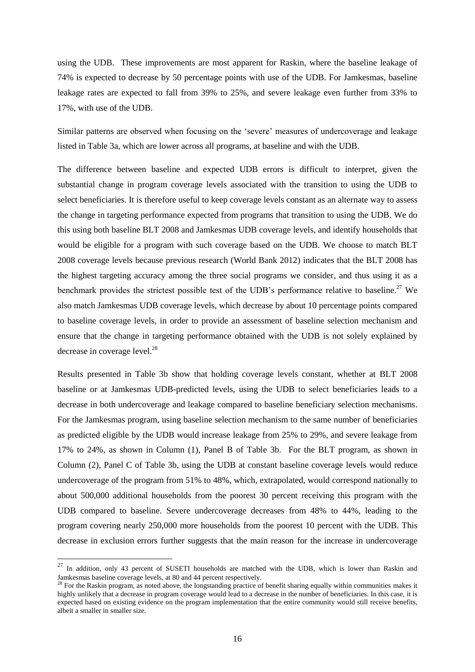using the UDB. These improvements are most apparent for Raskin, where the baseline leakage of 74% is expected to decrease by 50 percentage points with use of the UDB. For Jamkesmas, baseline leakage rates are expected to fall from 39% to 25%, and severe leakage even further from 33% to 17%, with use of the UDB.

Similar patterns are observed when focusing on the 'severe' measures of undercoverage and leakage listed in Table 3a, which are lower across all programs, at baseline and with the UDB.

The difference between baseline and expected UDB errors is difficult to interpret, given the substantial change in program coverage levels associated with the transition to using the UDB to select beneficiaries. It is therefore useful to keep coverage levels constant as an alternate way to assess the change in targeting performance expected from programs that transition to using the UDB. We do this using both baseline BLT 2008 and Jamkesmas UDB coverage levels, and identify households that would be eligible for a program with such coverage based on the UDB. We choose to match BLT 2008 coverage levels because previous research (World Bank 2012) indicates that the BLT 2008 has the highest targeting accuracy among the three social programs we consider, and thus using it as a benchmark provides the strictest possible test of the UDB's performance relative to baseline.<sup>27</sup> We also match Jamkesmas UDB coverage levels, which decrease by about 10 percentage points compared to baseline coverage levels, in order to provide an assessment of baseline selection mechanism and ensure that the change in targeting performance obtained with the UDB is not solely explained by decrease in coverage level.<sup>28</sup>

Results presented in Table 3b show that holding coverage levels constant, whether at BLT 2008 baseline or at Jamkesmas UDB-predicted levels, using the UDB to select beneficiaries leads to a decrease in both undercoverage and leakage compared to baseline beneficiary selection mechanisms. For the Jamkesmas program, using baseline selection mechanism to the same number of beneficiaries as predicted eligible by the UDB would increase leakage from 25% to 29%, and severe leakage from 17% to 24%, as shown in Column (1), Panel B of Table 3b. For the BLT program, as shown in Column (2), Panel C of Table 3b, using the UDB at constant baseline coverage levels would reduce undercoverage of the program from 51% to 48%, which, extrapolated, would correspond nationally to about 500,000 additional households from the poorest 30 percent receiving this program with the UDB compared to baseline. Severe undercoverage decreases from 48% to 44%, leading to the program covering nearly 250,000 more households from the poorest 10 percent with the UDB. This decrease in exclusion errors further suggests that the main reason for the increase in undercoverage

-

<sup>&</sup>lt;sup>27</sup> In addition, only 43 percent of SUSETI households are matched with the UDB, which is lower than Raskin and Jamkesmas baseline coverage levels, at 80 and 44 percent respectively.

 $2<sup>28</sup>$  For the Raskin program, as noted above, the longstanding practice of benefit sharing equally within communities makes it highly unlikely that a decrease in program coverage would lead to a decrease in the number of beneficiaries. In this case, it is expected based on existing evidence on the program implementation that the entire community would still receive benefits, albeit a smaller in smaller size.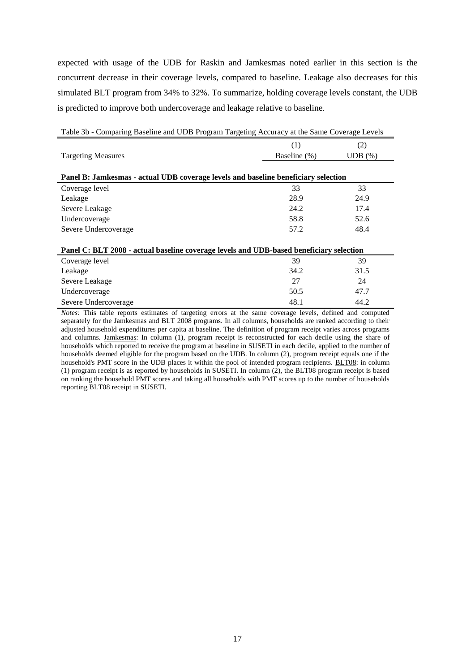expected with usage of the UDB for Raskin and Jamkesmas noted earlier in this section is the concurrent decrease in their coverage levels, compared to baseline. Leakage also decreases for this simulated BLT program from 34% to 32%. To summarize, holding coverage levels constant, the UDB is predicted to improve both undercoverage and leakage relative to baseline.

| Table 3b - Comparing Baseline and UDB Program Targeting Accuracy at the Same Coverage Levels |              |        |  |  |  |  |
|----------------------------------------------------------------------------------------------|--------------|--------|--|--|--|--|
|                                                                                              | (1)          | (2)    |  |  |  |  |
| <b>Targeting Measures</b>                                                                    | Baseline (%) | UDB(%) |  |  |  |  |
|                                                                                              |              |        |  |  |  |  |
| Panel B: Jamkesmas - actual UDB coverage levels and baseline beneficiary selection           |              |        |  |  |  |  |
| Coverage level                                                                               | 33           | 33     |  |  |  |  |
| Leakage                                                                                      | 28.9         | 24.9   |  |  |  |  |
| Severe Leakage                                                                               | 24.2         | 17.4   |  |  |  |  |
| Undercoverage                                                                                | 58.8         | 52.6   |  |  |  |  |
| Severe Undercoverage                                                                         | 57.2         | 48.4   |  |  |  |  |
|                                                                                              |              |        |  |  |  |  |
| Panel C: BLT 2008 - actual baseline coverage levels and UDB-based beneficiary selection      |              |        |  |  |  |  |
| Coverage level                                                                               | 39           | 39     |  |  |  |  |
| Leakage                                                                                      | 34.2         | 31.5   |  |  |  |  |
| Severe Leakage                                                                               | 27           | 24     |  |  |  |  |
| Undercoverage                                                                                | 50.5         | 47.7   |  |  |  |  |
| Severe Undercoverage                                                                         | 48.1         | 44.2   |  |  |  |  |

*Notes:* This table reports estimates of targeting errors at the same coverage levels, defined and computed separately for the Jamkesmas and BLT 2008 programs. In all columns, households are ranked according to their adjusted household expenditures per capita at baseline. The definition of program receipt varies across programs and columns. Jamkesmas: In column (1), program receipt is reconstructed for each decile using the share of households which reported to receive the program at baseline in SUSETI in each decile, applied to the number of households deemed eligible for the program based on the UDB. In column (2), program receipt equals one if the household's PMT score in the UDB places it within the pool of intended program recipients. BLT08: in column (1) program receipt is as reported by households in SUSETI. In column (2), the BLT08 program receipt is based on ranking the household PMT scores and taking all households with PMT scores up to the number of households reporting BLT08 receipt in SUSETI.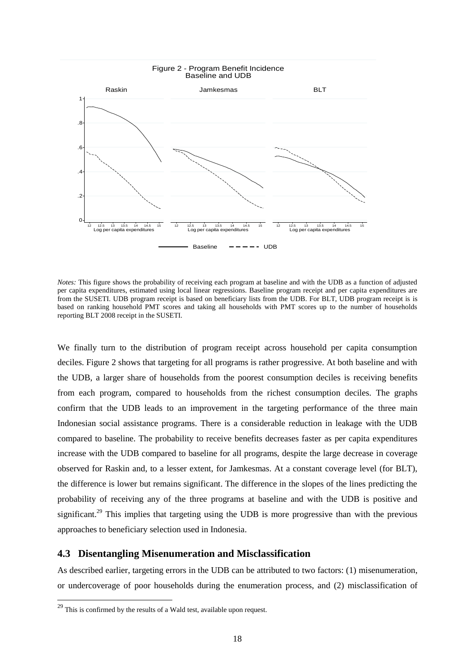

*Notes:* This figure shows the probability of receiving each program at baseline and with the UDB as a function of adjusted per capita expenditures, estimated using local linear regressions. Baseline program receipt and per capita expenditures are from the SUSETI. UDB program receipt is based on beneficiary lists from the UDB. For BLT, UDB program receipt is is based on ranking household PMT scores and taking all households with PMT scores up to the number of households reporting BLT 2008 receipt in the SUSETI.

We finally turn to the distribution of program receipt across household per capita consumption deciles. Figure 2 shows that targeting for all programs is rather progressive. At both baseline and with the UDB, a larger share of households from the poorest consumption deciles is receiving benefits from each program, compared to households from the richest consumption deciles. The graphs confirm that the UDB leads to an improvement in the targeting performance of the three main Indonesian social assistance programs. There is a considerable reduction in leakage with the UDB compared to baseline. The probability to receive benefits decreases faster as per capita expenditures increase with the UDB compared to baseline for all programs, despite the large decrease in coverage observed for Raskin and, to a lesser extent, for Jamkesmas. At a constant coverage level (for BLT), the difference is lower but remains significant. The difference in the slopes of the lines predicting the probability of receiving any of the three programs at baseline and with the UDB is positive and significant.<sup>29</sup> This implies that targeting using the UDB is more progressive than with the previous approaches to beneficiary selection used in Indonesia.

### **4.3 Disentangling Misenumeration and Misclassification**

As described earlier, targeting errors in the UDB can be attributed to two factors: (1) misenumeration, or undercoverage of poor households during the enumeration process, and (2) misclassification of

 $^{29}$  This is confirmed by the results of a Wald test, available upon request.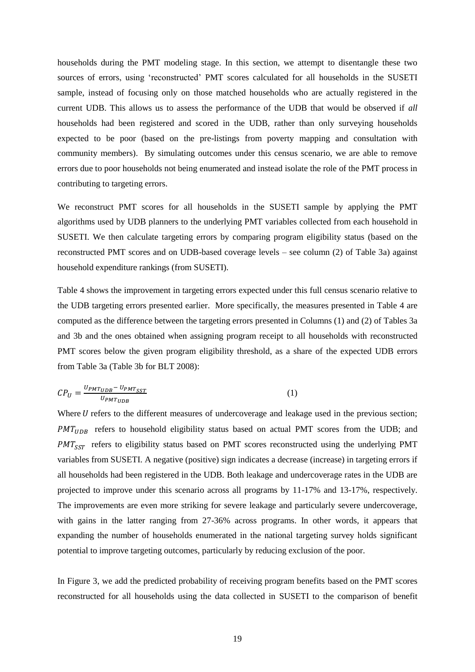households during the PMT modeling stage. In this section, we attempt to disentangle these two sources of errors, using 'reconstructed' PMT scores calculated for all households in the SUSETI sample, instead of focusing only on those matched households who are actually registered in the current UDB. This allows us to assess the performance of the UDB that would be observed if *all* households had been registered and scored in the UDB, rather than only surveying households expected to be poor (based on the pre-listings from poverty mapping and consultation with community members). By simulating outcomes under this census scenario, we are able to remove errors due to poor households not being enumerated and instead isolate the role of the PMT process in contributing to targeting errors.

We reconstruct PMT scores for all households in the SUSETI sample by applying the PMT algorithms used by UDB planners to the underlying PMT variables collected from each household in SUSETI. We then calculate targeting errors by comparing program eligibility status (based on the reconstructed PMT scores and on UDB-based coverage levels – see column (2) of Table 3a) against household expenditure rankings (from SUSETI).

Table 4 shows the improvement in targeting errors expected under this full census scenario relative to the UDB targeting errors presented earlier. More specifically, the measures presented in Table 4 are computed as the difference between the targeting errors presented in Columns (1) and (2) of Tables 3a and 3b and the ones obtained when assigning program receipt to all households with reconstructed PMT scores below the given program eligibility threshold, as a share of the expected UDB errors from Table 3a (Table 3b for BLT 2008):

$$
CP_U = \frac{U_{PMT_{UDB}} - U_{PMT_{SST}}}{U_{PMT_{UDB}}}
$$
\n
$$
\tag{1}
$$

Where  $U$  refers to the different measures of undercoverage and leakage used in the previous section;  $PMT_{UDB}$  refers to household eligibility status based on actual PMT scores from the UDB; and  $PMT_{SST}$  refers to eligibility status based on PMT scores reconstructed using the underlying PMT variables from SUSETI. A negative (positive) sign indicates a decrease (increase) in targeting errors if all households had been registered in the UDB. Both leakage and undercoverage rates in the UDB are projected to improve under this scenario across all programs by 11-17% and 13-17%, respectively. The improvements are even more striking for severe leakage and particularly severe undercoverage, with gains in the latter ranging from 27-36% across programs. In other words, it appears that expanding the number of households enumerated in the national targeting survey holds significant potential to improve targeting outcomes, particularly by reducing exclusion of the poor.

In Figure 3, we add the predicted probability of receiving program benefits based on the PMT scores reconstructed for all households using the data collected in SUSETI to the comparison of benefit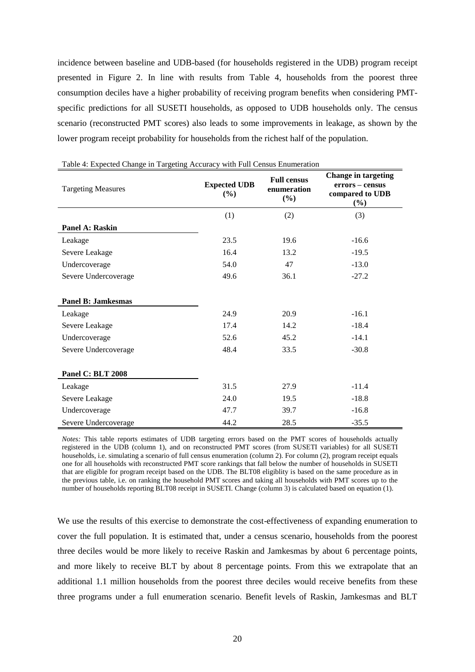incidence between baseline and UDB-based (for households registered in the UDB) program receipt presented in Figure 2. In line with results from Table 4, households from the poorest three consumption deciles have a higher probability of receiving program benefits when considering PMTspecific predictions for all SUSETI households, as opposed to UDB households only. The census scenario (reconstructed PMT scores) also leads to some improvements in leakage, as shown by the lower program receipt probability for households from the richest half of the population.

| <b>Targeting Measures</b> | <b>Full census</b><br><b>Expected UDB</b><br>enumeration<br>(%)<br>$(\%)$ |      | <b>Change in targeting</b><br>errors – census<br>compared to UDB<br>(%) |
|---------------------------|---------------------------------------------------------------------------|------|-------------------------------------------------------------------------|
|                           | (1)                                                                       | (2)  | (3)                                                                     |
| Panel A: Raskin           |                                                                           |      |                                                                         |
| Leakage                   | 23.5                                                                      | 19.6 | $-16.6$                                                                 |
| Severe Leakage            | 16.4                                                                      | 13.2 | $-19.5$                                                                 |
| Undercoverage             | 54.0                                                                      | 47   | $-13.0$                                                                 |
| Severe Undercoverage      | 49.6                                                                      | 36.1 | $-27.2$                                                                 |
| <b>Panel B: Jamkesmas</b> |                                                                           |      |                                                                         |
| Leakage                   | 24.9                                                                      | 20.9 | $-16.1$                                                                 |
| Severe Leakage            | 17.4                                                                      | 14.2 | $-18.4$                                                                 |
| Undercoverage             | 52.6                                                                      | 45.2 | $-14.1$                                                                 |
| Severe Undercoverage      | 48.4                                                                      | 33.5 | $-30.8$                                                                 |
| Panel C: BLT 2008         |                                                                           |      |                                                                         |
| Leakage                   | 31.5                                                                      | 27.9 | $-11.4$                                                                 |
| Severe Leakage            | 24.0                                                                      | 19.5 | $-18.8$                                                                 |
| Undercoverage             | 47.7                                                                      | 39.7 | $-16.8$                                                                 |
| Severe Undercoverage      | 44.2                                                                      | 28.5 | $-35.5$                                                                 |

Table 4: Expected Change in Targeting Accuracy with Full Census Enumeration

*Notes:* This table reports estimates of UDB targeting errors based on the PMT scores of households actually registered in the UDB (column 1), and on reconstructed PMT scores (from SUSETI variables) for all SUSETI households, i.e. simulating a scenario of full census enumeration (column 2). For column (2), program receipt equals one for all households with reconstructed PMT score rankings that fall below the number of households in SUSETI that are eligible for program receipt based on the UDB. The BLT08 eligiblity is based on the same procedure as in the previous table, i.e. on ranking the household PMT scores and taking all households with PMT scores up to the number of households reporting BLT08 receipt in SUSETI. Change (column 3) is calculated based on equation (1).

We use the results of this exercise to demonstrate the cost-effectiveness of expanding enumeration to cover the full population. It is estimated that, under a census scenario, households from the poorest three deciles would be more likely to receive Raskin and Jamkesmas by about 6 percentage points, and more likely to receive BLT by about 8 percentage points. From this we extrapolate that an additional 1.1 million households from the poorest three deciles would receive benefits from these three programs under a full enumeration scenario. Benefit levels of Raskin, Jamkesmas and BLT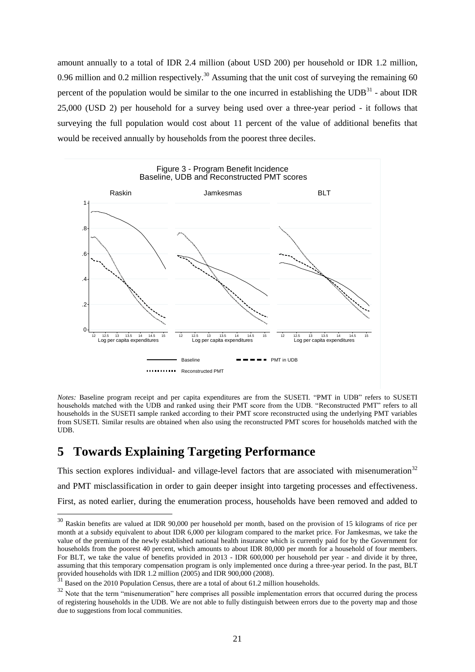amount annually to a total of IDR 2.4 million (about USD 200) per household or IDR 1.2 million, 0.96 million and 0.2 million respectively.<sup>30</sup> Assuming that the unit cost of surveying the remaining 60 percent of the population would be similar to the one incurred in establishing the  $\text{UDB}^{31}$  - about IDR 25,000 (USD 2) per household for a survey being used over a three-year period - it follows that surveying the full population would cost about 11 percent of the value of additional benefits that would be received annually by households from the poorest three deciles.



*Notes:* Baseline program receipt and per capita expenditures are from the SUSETI. "PMT in UDB" refers to SUSETI households matched with the UDB and ranked using their PMT score from the UDB. "Reconstructed PMT" refers to all households in the SUSETI sample ranked according to their PMT score reconstructed using the underlying PMT variables from SUSETI. Similar results are obtained when also using the reconstructed PMT scores for households matched with the UDB.

# **5 Towards Explaining Targeting Performance**

1

This section explores individual- and village-level factors that are associated with misenumeration<sup>32</sup> and PMT misclassification in order to gain deeper insight into targeting processes and effectiveness. First, as noted earlier, during the enumeration process, households have been removed and added to

<sup>&</sup>lt;sup>30</sup> Raskin benefits are valued at IDR 90,000 per household per month, based on the provision of 15 kilograms of rice per month at a subsidy equivalent to about IDR 6,000 per kilogram compared to the market price. For Jamkesmas, we take the value of the premium of the newly established national health insurance which is currently paid for by the Government for households from the poorest 40 percent, which amounts to about IDR 80,000 per month for a household of four members. For BLT, we take the value of benefits provided in 2013 - IDR 600,000 per household per year - and divide it by three, assuming that this temporary compensation program is only implemented once during a three-year period. In the past, BLT provided households with IDR 1.2 million (2005) and IDR 900,000 (2008).

 $31$  Based on the 2010 Population Census, there are a total of about 61.2 million households.

<sup>&</sup>lt;sup>32</sup> Note that the term "misenumeration" here comprises all possible implementation errors that occurred during the process of registering households in the UDB. We are not able to fully distinguish between errors due to the poverty map and those due to suggestions from local communities.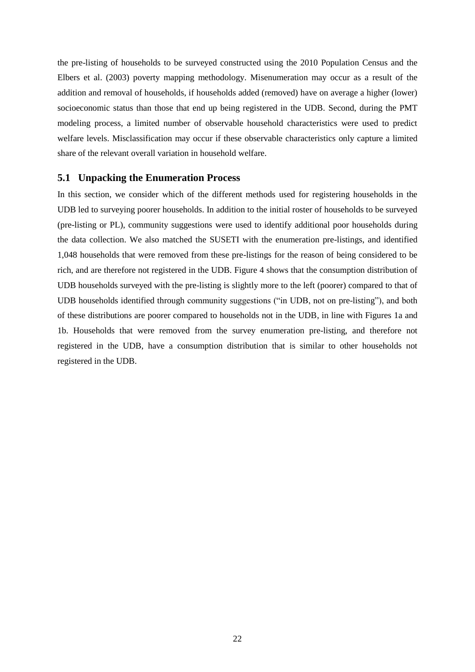the pre-listing of households to be surveyed constructed using the 2010 Population Census and the Elbers et al. (2003) poverty mapping methodology. Misenumeration may occur as a result of the addition and removal of households, if households added (removed) have on average a higher (lower) socioeconomic status than those that end up being registered in the UDB. Second, during the PMT modeling process, a limited number of observable household characteristics were used to predict welfare levels. Misclassification may occur if these observable characteristics only capture a limited share of the relevant overall variation in household welfare.

#### **5.1 Unpacking the Enumeration Process**

In this section, we consider which of the different methods used for registering households in the UDB led to surveying poorer households. In addition to the initial roster of households to be surveyed (pre-listing or PL), community suggestions were used to identify additional poor households during the data collection. We also matched the SUSETI with the enumeration pre-listings, and identified 1,048 households that were removed from these pre-listings for the reason of being considered to be rich, and are therefore not registered in the UDB. Figure 4 shows that the consumption distribution of UDB households surveyed with the pre-listing is slightly more to the left (poorer) compared to that of UDB households identified through community suggestions ("in UDB, not on pre-listing"), and both of these distributions are poorer compared to households not in the UDB, in line with Figures 1a and 1b. Households that were removed from the survey enumeration pre-listing, and therefore not registered in the UDB, have a consumption distribution that is similar to other households not registered in the UDB.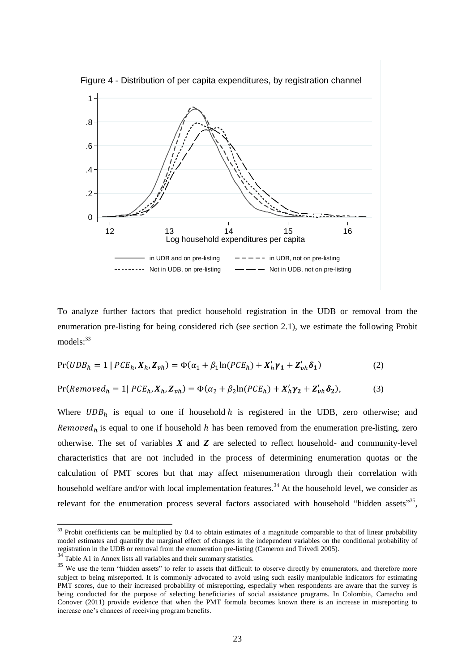

To analyze further factors that predict household registration in the UDB or removal from the enumeration pre-listing for being considered rich (see section 2.1), we estimate the following Probit  $models: <sup>33</sup>$ 

$$
Pr(UDB_h = 1 | PCE_h, X_h, Z_{vh}) = \Phi(\alpha_1 + \beta_1 \ln(PCE_h) + X_h' \gamma_1 + Z_{vh}' \delta_1)
$$
\n<sup>(2)</sup>

$$
Pr(Removed_h = 1 | PCE_h, X_h, Z_{vh}) = \Phi(\alpha_2 + \beta_2 \ln(PCE_h) + X_h' \gamma_2 + Z_{vh}' \delta_2),
$$
\n(3)

Where  $UDB<sub>h</sub>$  is equal to one if household h is registered in the UDB, zero otherwise; and Removed<sub>h</sub> is equal to one if household h has been removed from the enumeration pre-listing, zero otherwise. The set of variables *X* and *Z* are selected to reflect household- and community-level characteristics that are not included in the process of determining enumeration quotas or the calculation of PMT scores but that may affect misenumeration through their correlation with household welfare and/or with local implementation features.<sup>34</sup> At the household level, we consider as relevant for the enumeration process several factors associated with household "hidden assets"<sup>35</sup>,

 $33$  Probit coefficients can be multiplied by 0.4 to obtain estimates of a magnitude comparable to that of linear probability model estimates and quantify the marginal effect of changes in the independent variables on the conditional probability of registration in the UDB or removal from the enumeration pre-listing (Cameron and Trivedi 2005).

 $34$  Table A1 in Annex lists all variables and their summary statistics.

<sup>&</sup>lt;sup>35</sup> We use the term "hidden assets" to refer to assets that difficult to observe directly by enumerators, and therefore more subject to being misreported. It is commonly advocated to avoid using such easily manipulable indicators for estimating PMT scores, due to their increased probability of misreporting, especially when respondents are aware that the survey is being conducted for the purpose of selecting beneficiaries of social assistance programs. In Colombia, Camacho and Conover (2011) provide evidence that when the PMT formula becomes known there is an increase in misreporting to increase one's chances of receiving program benefits.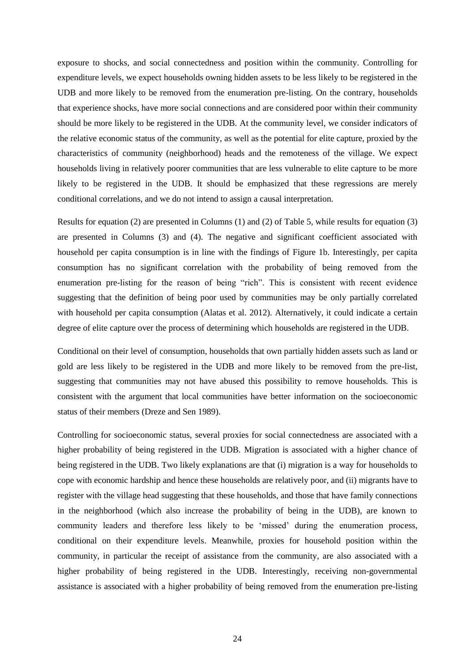exposure to shocks, and social connectedness and position within the community. Controlling for expenditure levels, we expect households owning hidden assets to be less likely to be registered in the UDB and more likely to be removed from the enumeration pre-listing. On the contrary, households that experience shocks, have more social connections and are considered poor within their community should be more likely to be registered in the UDB. At the community level, we consider indicators of the relative economic status of the community, as well as the potential for elite capture, proxied by the characteristics of community (neighborhood) heads and the remoteness of the village. We expect households living in relatively poorer communities that are less vulnerable to elite capture to be more likely to be registered in the UDB. It should be emphasized that these regressions are merely conditional correlations, and we do not intend to assign a causal interpretation.

Results for equation (2) are presented in Columns (1) and (2) of Table 5, while results for equation (3) are presented in Columns (3) and (4). The negative and significant coefficient associated with household per capita consumption is in line with the findings of Figure 1b. Interestingly, per capita consumption has no significant correlation with the probability of being removed from the enumeration pre-listing for the reason of being "rich". This is consistent with recent evidence suggesting that the definition of being poor used by communities may be only partially correlated with household per capita consumption (Alatas et al. 2012). Alternatively, it could indicate a certain degree of elite capture over the process of determining which households are registered in the UDB.

Conditional on their level of consumption, households that own partially hidden assets such as land or gold are less likely to be registered in the UDB and more likely to be removed from the pre-list, suggesting that communities may not have abused this possibility to remove households. This is consistent with the argument that local communities have better information on the socioeconomic status of their members (Dreze and Sen 1989).

Controlling for socioeconomic status, several proxies for social connectedness are associated with a higher probability of being registered in the UDB. Migration is associated with a higher chance of being registered in the UDB. Two likely explanations are that (i) migration is a way for households to cope with economic hardship and hence these households are relatively poor, and (ii) migrants have to register with the village head suggesting that these households, and those that have family connections in the neighborhood (which also increase the probability of being in the UDB), are known to community leaders and therefore less likely to be 'missed' during the enumeration process, conditional on their expenditure levels. Meanwhile, proxies for household position within the community, in particular the receipt of assistance from the community, are also associated with a higher probability of being registered in the UDB. Interestingly, receiving non-governmental assistance is associated with a higher probability of being removed from the enumeration pre-listing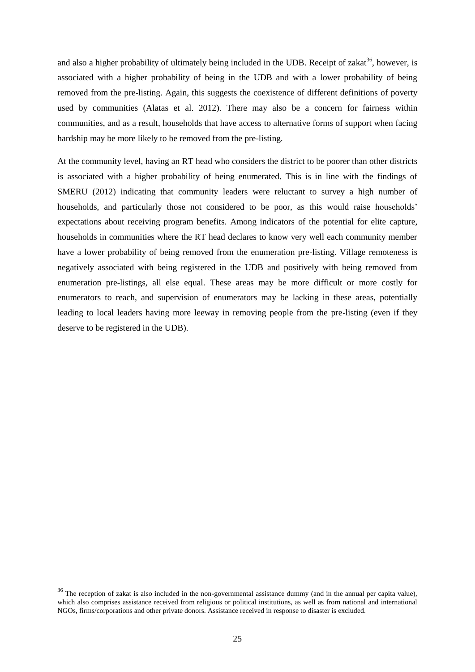and also a higher probability of ultimately being included in the UDB. Receipt of zakat<sup>36</sup>, however, is associated with a higher probability of being in the UDB and with a lower probability of being removed from the pre-listing. Again, this suggests the coexistence of different definitions of poverty used by communities (Alatas et al. 2012). There may also be a concern for fairness within communities, and as a result, households that have access to alternative forms of support when facing hardship may be more likely to be removed from the pre-listing.

At the community level, having an RT head who considers the district to be poorer than other districts is associated with a higher probability of being enumerated. This is in line with the findings of SMERU (2012) indicating that community leaders were reluctant to survey a high number of households, and particularly those not considered to be poor, as this would raise households' expectations about receiving program benefits. Among indicators of the potential for elite capture, households in communities where the RT head declares to know very well each community member have a lower probability of being removed from the enumeration pre-listing. Village remoteness is negatively associated with being registered in the UDB and positively with being removed from enumeration pre-listings, all else equal. These areas may be more difficult or more costly for enumerators to reach, and supervision of enumerators may be lacking in these areas, potentially leading to local leaders having more leeway in removing people from the pre-listing (even if they deserve to be registered in the UDB).

<sup>&</sup>lt;sup>36</sup> The reception of zakat is also included in the non-governmental assistance dummy (and in the annual per capita value), which also comprises assistance received from religious or political institutions, as well as from national and international NGOs, firms/corporations and other private donors. Assistance received in response to disaster is excluded.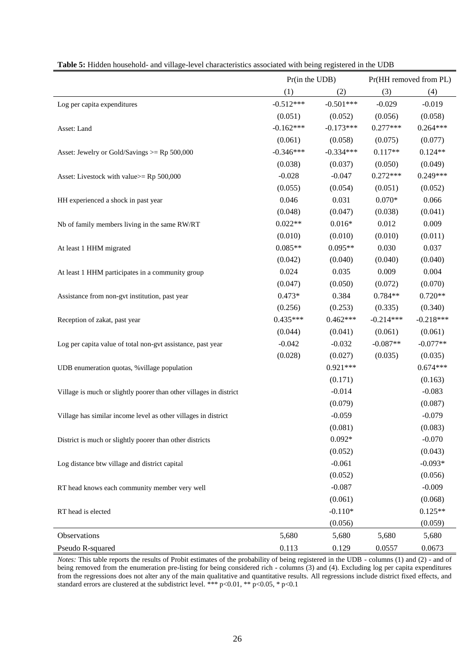|                                                                    |             | Pr(in the UDB) |             | Pr(HH removed from PL) |
|--------------------------------------------------------------------|-------------|----------------|-------------|------------------------|
|                                                                    | (1)         | (2)            | (3)         | (4)                    |
| Log per capita expenditures                                        | $-0.512***$ | $-0.501***$    | $-0.029$    | $-0.019$               |
|                                                                    | (0.051)     | (0.052)        | (0.056)     | (0.058)                |
| Asset: Land                                                        | $-0.162***$ | $-0.173***$    | $0.277***$  | $0.264***$             |
|                                                                    | (0.061)     | (0.058)        | (0.075)     | (0.077)                |
| Asset: Jewelry or Gold/Savings $>=$ Rp 500,000                     | $-0.346***$ | $-0.334***$    | $0.117**$   | $0.124**$              |
|                                                                    | (0.038)     | (0.037)        | (0.050)     | (0.049)                |
| Asset: Livestock with value>= Rp 500,000                           | $-0.028$    | $-0.047$       | $0.272***$  | $0.249***$             |
|                                                                    | (0.055)     | (0.054)        | (0.051)     | (0.052)                |
| HH experienced a shock in past year                                | 0.046       | 0.031          | $0.070*$    | 0.066                  |
|                                                                    | (0.048)     | (0.047)        | (0.038)     | (0.041)                |
| Nb of family members living in the same RW/RT                      | $0.022**$   | $0.016*$       | 0.012       | 0.009                  |
|                                                                    | (0.010)     | (0.010)        | (0.010)     | (0.011)                |
| At least 1 HHM migrated                                            | $0.085**$   | $0.095**$      | 0.030       | 0.037                  |
|                                                                    | (0.042)     | (0.040)        | (0.040)     | (0.040)                |
| At least 1 HHM participates in a community group                   | 0.024       | 0.035          | 0.009       | 0.004                  |
|                                                                    | (0.047)     | (0.050)        | (0.072)     | (0.070)                |
| Assistance from non-gvt institution, past year                     | $0.473*$    | 0.384          | $0.784**$   | $0.720**$              |
|                                                                    | (0.256)     | (0.253)        | (0.335)     | (0.340)                |
| Reception of zakat, past year                                      | $0.435***$  | $0.462***$     | $-0.214***$ | $-0.218***$            |
|                                                                    | (0.044)     | (0.041)        | (0.061)     | (0.061)                |
| Log per capita value of total non-gvt assistance, past year        | $-0.042$    | $-0.032$       | $-0.087**$  | $-0.077**$             |
|                                                                    | (0.028)     | (0.027)        | (0.035)     | (0.035)                |
| UDB enumeration quotas, % village population                       |             | $0.921***$     |             | $0.674***$             |
|                                                                    |             | (0.171)        |             | (0.163)                |
| Village is much or slightly poorer than other villages in district |             | $-0.014$       |             | $-0.083$               |
|                                                                    |             | (0.079)        |             | (0.087)                |
| Village has similar income level as other villages in district     |             | $-0.059$       |             | $-0.079$               |
|                                                                    |             | (0.081)        |             | (0.083)                |
| District is much or slightly poorer than other districts           |             | $0.092*$       |             | $-0.070$               |
|                                                                    |             | (0.052)        |             | (0.043)                |
| Log distance btw village and district capital                      |             | $-0.061$       |             | $-0.093*$              |
|                                                                    |             | (0.052)        |             | (0.056)                |
| RT head knows each community member very well                      |             | $-0.087$       |             | $-0.009$               |
|                                                                    |             | (0.061)        |             | (0.068)                |
| RT head is elected                                                 |             | $-0.110*$      |             | $0.125**$              |
|                                                                    |             | (0.056)        |             | (0.059)                |
| Observations                                                       | 5,680       | 5,680          | 5,680       | 5,680                  |
| Pseudo R-squared                                                   | 0.113       | 0.129          | 0.0557      | 0.0673                 |

|  |  |  | Table 5: Hidden household- and village-level characteristics associated with being registered in the UDB |  |  |  |  |
|--|--|--|----------------------------------------------------------------------------------------------------------|--|--|--|--|
|  |  |  |                                                                                                          |  |  |  |  |

*Notes:* This table reports the results of Probit estimates of the probability of being registered in the UDB - columns (1) and (2) - and of being removed from the enumeration pre-listing for being considered rich - columns (3) and (4). Excluding log per capita expenditures from the regressions does not alter any of the main qualitative and quantitative results. All regressions include district fixed effects, and standard errors are clustered at the subdistrict level. \*\*\* p<0.01, \*\* p<0.05, \* p<0.1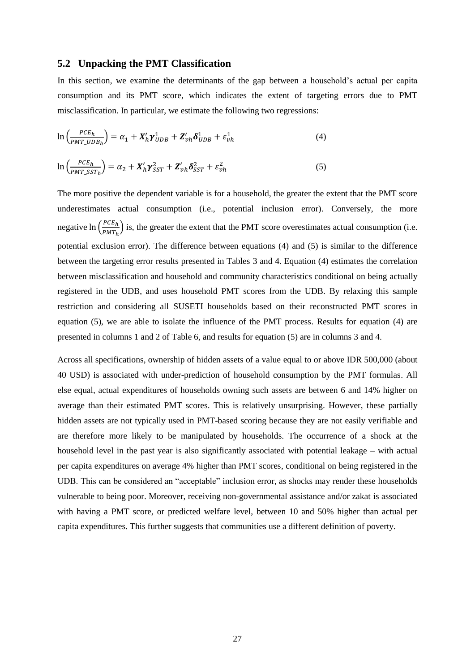#### **5.2 Unpacking the PMT Classification**

In this section, we examine the determinants of the gap between a household's actual per capita consumption and its PMT score, which indicates the extent of targeting errors due to PMT misclassification. In particular, we estimate the following two regressions:

$$
\ln\left(\frac{PCE_h}{PMT\_UDB_h}\right) = \alpha_1 + X'_h \gamma_{UDB}^1 + Z'_{vh} \delta_{UDB}^1 + \varepsilon_{vh}^1 \tag{4}
$$

$$
\ln\left(\frac{PCE_h}{PMT\_SST_h}\right) = \alpha_2 + X_h' \gamma_{SST}^2 + Z_{vh}' \delta_{SST}^2 + \varepsilon_{vh}^2 \tag{5}
$$

The more positive the dependent variable is for a household, the greater the extent that the PMT score underestimates actual consumption (i.e., potential inclusion error). Conversely, the more negative  $\ln \left( \frac{PCE_h}{PME} \right)$  $\frac{FCE_h}{PMT_h}$ ) is, the greater the extent that the PMT score overestimates actual consumption (i.e. potential exclusion error). The difference between equations (4) and (5) is similar to the difference between the targeting error results presented in Tables 3 and 4. Equation (4) estimates the correlation between misclassification and household and community characteristics conditional on being actually registered in the UDB, and uses household PMT scores from the UDB. By relaxing this sample restriction and considering all SUSETI households based on their reconstructed PMT scores in equation (5), we are able to isolate the influence of the PMT process. Results for equation (4) are presented in columns 1 and 2 of Table 6, and results for equation (5) are in columns 3 and 4.

Across all specifications, ownership of hidden assets of a value equal to or above IDR 500,000 (about 40 USD) is associated with under-prediction of household consumption by the PMT formulas. All else equal, actual expenditures of households owning such assets are between 6 and 14% higher on average than their estimated PMT scores. This is relatively unsurprising. However, these partially hidden assets are not typically used in PMT-based scoring because they are not easily verifiable and are therefore more likely to be manipulated by households. The occurrence of a shock at the household level in the past year is also significantly associated with potential leakage – with actual per capita expenditures on average 4% higher than PMT scores, conditional on being registered in the UDB. This can be considered an "acceptable" inclusion error, as shocks may render these households vulnerable to being poor. Moreover, receiving non-governmental assistance and/or zakat is associated with having a PMT score, or predicted welfare level, between 10 and 50% higher than actual per capita expenditures. This further suggests that communities use a different definition of poverty.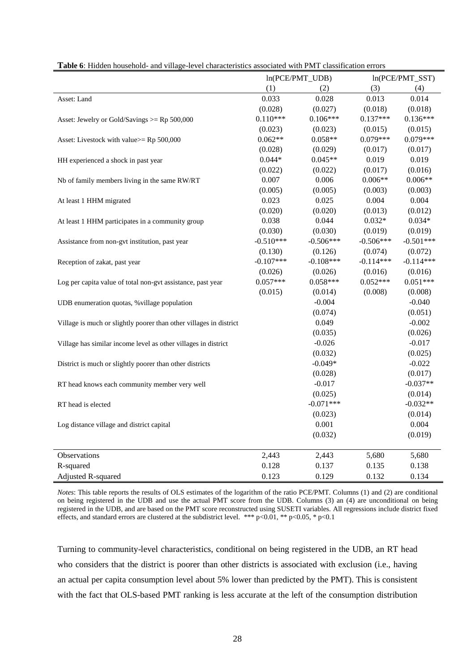|                                                                    | ln(PCE/PMT_UDB) |             |             | ln(PCE/PMT_SST) |
|--------------------------------------------------------------------|-----------------|-------------|-------------|-----------------|
|                                                                    | (1)             | (2)         | (3)         | (4)             |
| Asset: Land                                                        | 0.033           | 0.028       | 0.013       | 0.014           |
|                                                                    | (0.028)         | (0.027)     | (0.018)     | (0.018)         |
| Asset: Jewelry or Gold/Savings $>=$ Rp 500,000                     | $0.110***$      | $0.106***$  | $0.137***$  | $0.136***$      |
|                                                                    | (0.023)         | (0.023)     | (0.015)     | (0.015)         |
| Asset: Livestock with value>= Rp 500,000                           | $0.062**$       | $0.058**$   | $0.079***$  | $0.079***$      |
|                                                                    | (0.028)         | (0.029)     | (0.017)     | (0.017)         |
| HH experienced a shock in past year                                | $0.044*$        | $0.045**$   | 0.019       | 0.019           |
|                                                                    | (0.022)         | (0.022)     | (0.017)     | (0.016)         |
| Nb of family members living in the same RW/RT                      | 0.007           | 0.006       | $0.006**$   | $0.006**$       |
|                                                                    | (0.005)         | (0.005)     | (0.003)     | (0.003)         |
| At least 1 HHM migrated                                            | 0.023           | 0.025       | 0.004       | 0.004           |
|                                                                    | (0.020)         | (0.020)     | (0.013)     | (0.012)         |
| At least 1 HHM participates in a community group                   | 0.038           | 0.044       | $0.032*$    | $0.034*$        |
|                                                                    | (0.030)         | (0.030)     | (0.019)     | (0.019)         |
| Assistance from non-gvt institution, past year                     | $-0.510***$     | $-0.506***$ | $-0.506***$ | $-0.501***$     |
|                                                                    | (0.130)         | (0.126)     | (0.074)     | (0.072)         |
| Reception of zakat, past year                                      | $-0.107***$     | $-0.108***$ | $-0.114***$ | $-0.114***$     |
|                                                                    | (0.026)         | (0.026)     | (0.016)     | (0.016)         |
| Log per capita value of total non-gvt assistance, past year        | $0.057***$      | $0.058***$  | $0.052***$  | $0.051***$      |
|                                                                    | (0.015)         | (0.014)     | (0.008)     | (0.008)         |
| UDB enumeration quotas, % village population                       |                 | $-0.004$    |             | $-0.040$        |
|                                                                    |                 | (0.074)     |             | (0.051)         |
| Village is much or slightly poorer than other villages in district |                 | 0.049       |             | $-0.002$        |
|                                                                    |                 | (0.035)     |             | (0.026)         |
| Village has similar income level as other villages in district     |                 | $-0.026$    |             | $-0.017$        |
|                                                                    |                 | (0.032)     |             | (0.025)         |
| District is much or slightly poorer than other districts           |                 | $-0.049*$   |             | $-0.022$        |
|                                                                    |                 | (0.028)     |             | (0.017)         |
| RT head knows each community member very well                      |                 | $-0.017$    |             | $-0.037**$      |
|                                                                    |                 | (0.025)     |             | (0.014)         |
| RT head is elected                                                 |                 | $-0.071***$ |             | $-0.032**$      |
|                                                                    |                 | (0.023)     |             | (0.014)         |
| Log distance village and district capital                          |                 | 0.001       |             | 0.004           |
|                                                                    |                 | (0.032)     |             | (0.019)         |
| Observations                                                       | 2,443           | 2,443       | 5,680       | 5,680           |
| R-squared                                                          | 0.128           | 0.137       | 0.135       | 0.138           |
| Adjusted R-squared                                                 | 0.123           | 0.129       | 0.132       | 0.134           |

|  | Table 6: Hidden household- and village-level characteristics associated with PMT classification errors |
|--|--------------------------------------------------------------------------------------------------------|
|--|--------------------------------------------------------------------------------------------------------|

*Notes*: This table reports the results of OLS estimates of the logarithm of the ratio PCE/PMT. Columns (1) and (2) are conditional on being registered in the UDB and use the actual PMT score from the UDB. Columns (3) an (4) are unconditional on being registered in the UDB, and are based on the PMT score reconstructed using SUSETI variables. All regressions include district fixed effects, and standard errors are clustered at the subdistrict level. \*\*\*  $p<0.01$ , \*\*  $p<0.05$ , \*  $p<0.1$ 

Turning to community-level characteristics, conditional on being registered in the UDB, an RT head who considers that the district is poorer than other districts is associated with exclusion (i.e., having an actual per capita consumption level about 5% lower than predicted by the PMT). This is consistent with the fact that OLS-based PMT ranking is less accurate at the left of the consumption distribution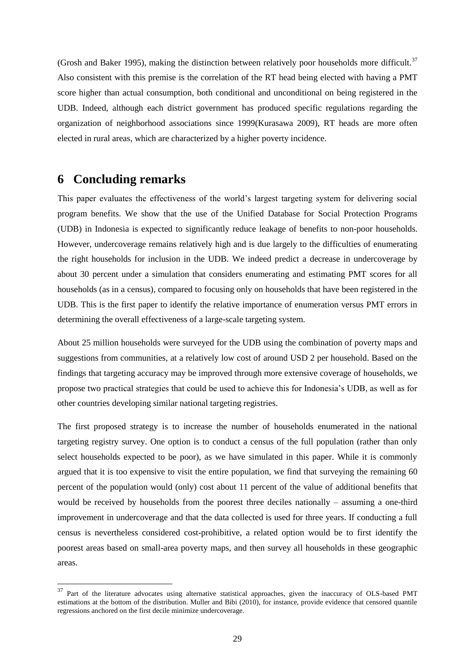(Grosh and Baker 1995), making the distinction between relatively poor households more difficult.<sup>37</sup> Also consistent with this premise is the correlation of the RT head being elected with having a PMT score higher than actual consumption, both conditional and unconditional on being registered in the UDB. Indeed, although each district government has produced specific regulations regarding the organization of neighborhood associations since 1999(Kurasawa 2009), RT heads are more often elected in rural areas, which are characterized by a higher poverty incidence.

### **6 Concluding remarks**

1

This paper evaluates the effectiveness of the world's largest targeting system for delivering social program benefits. We show that the use of the Unified Database for Social Protection Programs (UDB) in Indonesia is expected to significantly reduce leakage of benefits to non-poor households. However, undercoverage remains relatively high and is due largely to the difficulties of enumerating the right households for inclusion in the UDB. We indeed predict a decrease in undercoverage by about 30 percent under a simulation that considers enumerating and estimating PMT scores for all households (as in a census), compared to focusing only on households that have been registered in the UDB. This is the first paper to identify the relative importance of enumeration versus PMT errors in determining the overall effectiveness of a large-scale targeting system.

About 25 million households were surveyed for the UDB using the combination of poverty maps and suggestions from communities, at a relatively low cost of around USD 2 per household. Based on the findings that targeting accuracy may be improved through more extensive coverage of households, we propose two practical strategies that could be used to achieve this for Indonesia's UDB, as well as for other countries developing similar national targeting registries.

The first proposed strategy is to increase the number of households enumerated in the national targeting registry survey. One option is to conduct a census of the full population (rather than only select households expected to be poor), as we have simulated in this paper. While it is commonly argued that it is too expensive to visit the entire population, we find that surveying the remaining 60 percent of the population would (only) cost about 11 percent of the value of additional benefits that would be received by households from the poorest three deciles nationally – assuming a one-third improvement in undercoverage and that the data collected is used for three years. If conducting a full census is nevertheless considered cost-prohibitive, a related option would be to first identify the poorest areas based on small-area poverty maps, and then survey all households in these geographic areas.

<sup>&</sup>lt;sup>37</sup> Part of the literature advocates using alternative statistical approaches, given the inaccuracy of OLS-based PMT estimations at the bottom of the distribution. Muller and Bibi (2010), for instance, provide evidence that censored quantile regressions anchored on the first decile minimize undercoverage.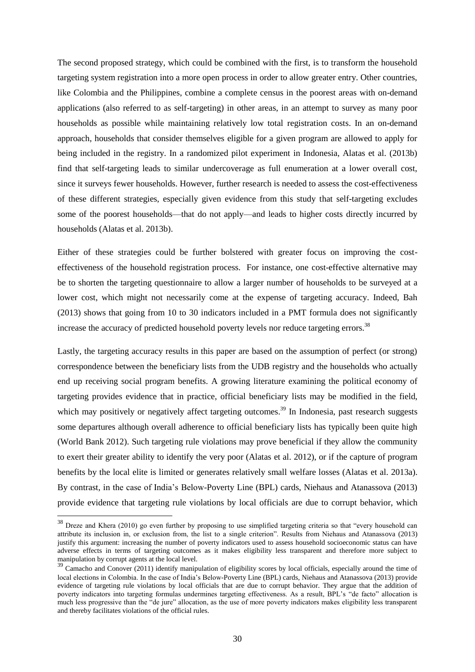The second proposed strategy, which could be combined with the first, is to transform the household targeting system registration into a more open process in order to allow greater entry. Other countries, like Colombia and the Philippines, combine a complete census in the poorest areas with on-demand applications (also referred to as self-targeting) in other areas, in an attempt to survey as many poor households as possible while maintaining relatively low total registration costs. In an on-demand approach, households that consider themselves eligible for a given program are allowed to apply for being included in the registry. In a randomized pilot experiment in Indonesia, Alatas et al. (2013b) find that self-targeting leads to similar undercoverage as full enumeration at a lower overall cost, since it surveys fewer households. However, further research is needed to assess the cost-effectiveness of these different strategies, especially given evidence from this study that self-targeting excludes some of the poorest households—that do not apply—and leads to higher costs directly incurred by households (Alatas et al. 2013b).

Either of these strategies could be further bolstered with greater focus on improving the costeffectiveness of the household registration process. For instance, one cost-effective alternative may be to shorten the targeting questionnaire to allow a larger number of households to be surveyed at a lower cost, which might not necessarily come at the expense of targeting accuracy. Indeed, Bah (2013) shows that going from 10 to 30 indicators included in a PMT formula does not significantly increase the accuracy of predicted household poverty levels nor reduce targeting errors.<sup>38</sup>

Lastly, the targeting accuracy results in this paper are based on the assumption of perfect (or strong) correspondence between the beneficiary lists from the UDB registry and the households who actually end up receiving social program benefits. A growing literature examining the political economy of targeting provides evidence that in practice, official beneficiary lists may be modified in the field, which may positively or negatively affect targeting outcomes.<sup>39</sup> In Indonesia, past research suggests some departures although overall adherence to official beneficiary lists has typically been quite high (World Bank 2012). Such targeting rule violations may prove beneficial if they allow the community to exert their greater ability to identify the very poor (Alatas et al. 2012), or if the capture of program benefits by the local elite is limited or generates relatively small welfare losses (Alatas et al. 2013a). By contrast, in the case of India's Below-Poverty Line (BPL) cards, Niehaus and Atanassova (2013) provide evidence that targeting rule violations by local officials are due to corrupt behavior, which

<sup>38</sup> Dreze and Khera (2010) go even further by proposing to use simplified targeting criteria so that "every household can attribute its inclusion in, or exclusion from, the list to a single criterion". Results from Niehaus and Atanassova (2013) justify this argument: increasing the number of poverty indicators used to assess household socioeconomic status can have adverse effects in terms of targeting outcomes as it makes eligibility less transparent and therefore more subject to manipulation by corrupt agents at the local level.

<sup>&</sup>lt;sup>39</sup> Camacho and Conover (2011) identify manipulation of eligibility scores by local officials, especially around the time of local elections in Colombia. In the case of India's Below-Poverty Line (BPL) cards, Niehaus and Atanassova (2013) provide evidence of targeting rule violations by local officials that are due to corrupt behavior. They argue that the addition of poverty indicators into targeting formulas undermines targeting effectiveness. As a result, BPL's "de facto" allocation is much less progressive than the "de jure" allocation, as the use of more poverty indicators makes eligibility less transparent and thereby facilitates violations of the official rules.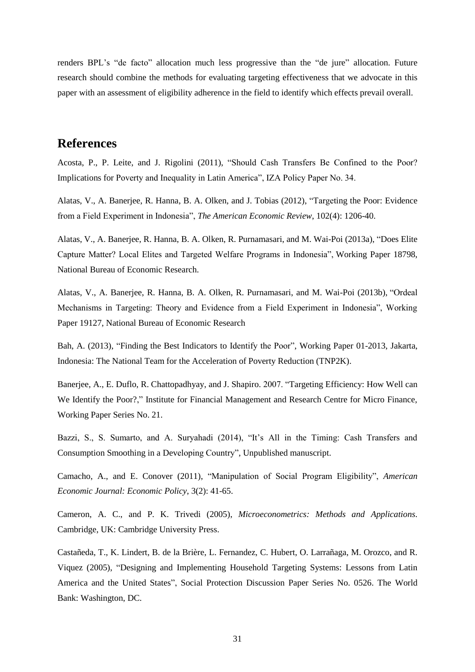renders BPL's "de facto" allocation much less progressive than the "de jure" allocation. Future research should combine the methods for evaluating targeting effectiveness that we advocate in this paper with an assessment of eligibility adherence in the field to identify which effects prevail overall.

### **References**

Acosta, P., P. Leite, and J. Rigolini (2011), "Should Cash Transfers Be Confined to the Poor? Implications for Poverty and Inequality in Latin America", IZA Policy Paper No. 34.

Alatas, V., A. Banerjee, R. Hanna, B. A. Olken, and J. Tobias (2012), "Targeting the Poor: Evidence from a Field Experiment in Indonesia", *The American Economic Review*, 102(4): 1206-40.

Alatas, V., A. Banerjee, R. Hanna, B. A. Olken, R. Purnamasari, and M. Wai-Poi (2013a), "Does Elite Capture Matter? Local Elites and Targeted Welfare Programs in Indonesia", Working Paper 18798, National Bureau of Economic Research.

Alatas, V., A. Banerjee, R. Hanna, B. A. Olken, R. Purnamasari, and M. Wai-Poi (2013b), "Ordeal Mechanisms in Targeting: Theory and Evidence from a Field Experiment in Indonesia", Working Paper 19127, National Bureau of Economic Research

Bah, A. (2013), "Finding the Best Indicators to Identify the Poor", Working Paper 01-2013, Jakarta, Indonesia: The National Team for the Acceleration of Poverty Reduction (TNP2K).

Banerjee, A., E. Duflo, R. Chattopadhyay, and J. Shapiro. 2007. "Targeting Efficiency: How Well can We Identify the Poor?," Institute for Financial Management and Research Centre for Micro Finance, Working Paper Series No. 21.

Bazzi, S., S. Sumarto, and A. Suryahadi (2014), "It's All in the Timing: Cash Transfers and Consumption Smoothing in a Developing Country", Unpublished manuscript.

Camacho, A., and E. Conover (2011), "Manipulation of Social Program Eligibility", *American Economic Journal: Economic Policy*, 3(2): 41-65.

Cameron, A. C., and P. K. Trivedi (2005), *Microeconometrics: Methods and Applications*. Cambridge, UK: Cambridge University Press.

Castañeda, T., K. Lindert, B. de la Brière, L. Fernandez, C. Hubert, O. Larrañaga, M. Orozco, and R. Viquez (2005), "Designing and Implementing Household Targeting Systems: Lessons from Latin America and the United States", Social Protection Discussion Paper Series No. 0526. The World Bank: Washington, DC.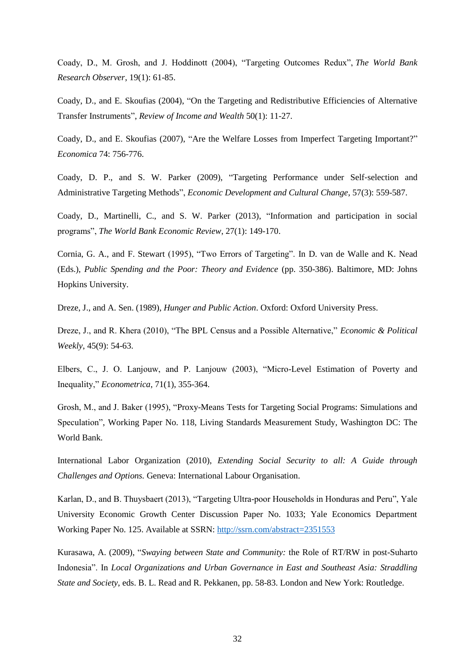Coady, D., M. Grosh, and J. Hoddinott (2004), "Targeting Outcomes Redux", *The World Bank Research Observer*, 19(1): 61-85.

Coady, D., and E. Skoufias (2004), "On the Targeting and Redistributive Efficiencies of Alternative Transfer Instruments", *Review of Income and Wealth* 50(1): 11-27.

Coady, D., and E. Skoufias (2007), "Are the Welfare Losses from Imperfect Targeting Important?" *Economica* 74: 756-776.

Coady, D. P., and S. W. Parker (2009), "Targeting Performance under Self‐selection and Administrative Targeting Methods", *Economic Development and Cultural Change*, 57(3): 559-587.

Coady, D., Martinelli, C., and S. W. Parker (2013), "Information and participation in social programs", *The World Bank Economic Review*, 27(1): 149-170.

Cornia, G. A., and F. Stewart (1995), "Two Errors of Targeting". In D. van de Walle and K. Nead (Eds.), *Public Spending and the Poor: Theory and Evidence* (pp. 350-386). Baltimore, MD: Johns Hopkins University.

Dreze, J., and A. Sen. (1989), *Hunger and Public Action*. Oxford: Oxford University Press.

Dreze, J., and R. Khera (2010), "The BPL Census and a Possible Alternative," *Economic & Political Weekly*, 45(9): 54-63.

Elbers, C., J. O. Lanjouw, and P. Lanjouw (2003), "Micro-Level Estimation of Poverty and Inequality," *Econometrica*, 71(1), 355-364.

Grosh, M., and J. Baker (1995), "Proxy-Means Tests for Targeting Social Programs: Simulations and Speculation", Working Paper No. 118, Living Standards Measurement Study, Washington DC: The World Bank.

International Labor Organization (2010), *Extending Social Security to all: A Guide through Challenges and Options.* Geneva: International Labour Organisation.

Karlan, D., and B. Thuysbaert (2013), "Targeting Ultra-poor Households in Honduras and Peru", Yale University Economic Growth Center Discussion Paper No. 1033; Yale Economics Department Working Paper No. 125. Available at SSRN:<http://ssrn.com/abstract=2351553>

Kurasawa, A. (2009), "*Swaying between State and Community:* the Role of RT/RW in post-Suharto Indonesia". In *Local Organizations and Urban Governance in East and Southeast Asia: Straddling State and Society*, eds. B. L. Read and R. Pekkanen, pp. 58-83. London and New York: Routledge.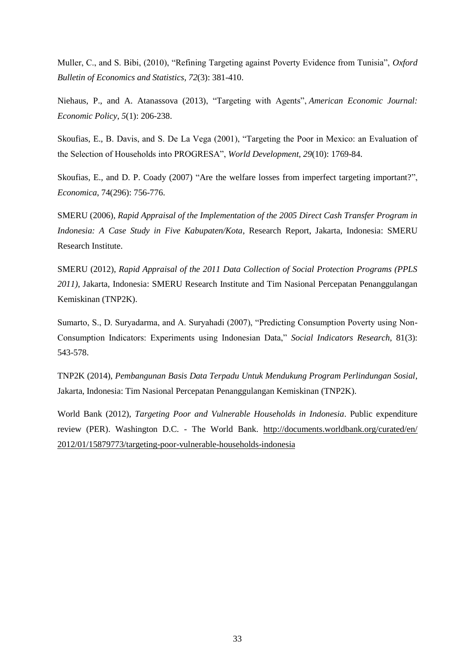Muller, C., and S. Bibi, (2010), "Refining Targeting against Poverty Evidence from Tunisia", *Oxford Bulletin of Economics and Statistics*, *72*(3): 381-410.

Niehaus, P., and A. Atanassova (2013), "Targeting with Agents", *American Economic Journal: Economic Policy*, *5*(1): 206-238.

Skoufias, E., B. Davis, and S. De La Vega (2001), "Targeting the Poor in Mexico: an Evaluation of the Selection of Households into PROGRESA", *World Development*, *29*(10): 1769-84.

Skoufias, E., and D. P. Coady (2007) "Are the welfare losses from imperfect targeting important?", *Economica*, 74(296): 756-776.

SMERU (2006), *Rapid Appraisal of the Implementation of the 2005 Direct Cash Transfer Program in Indonesia: A Case Study in Five Kabupaten/Kota*, Research Report, Jakarta, Indonesia: SMERU Research Institute.

SMERU (2012), *Rapid Appraisal of the 2011 Data Collection of Social Protection Programs (PPLS 2011)*, Jakarta, Indonesia: SMERU Research Institute and Tim Nasional Percepatan Penanggulangan Kemiskinan (TNP2K).

Sumarto, S., D. Suryadarma, and A. Suryahadi (2007), "Predicting Consumption Poverty using Non-Consumption Indicators: Experiments using Indonesian Data," *Social Indicators Research*, 81(3): 543-578.

TNP2K (2014), *Pembangunan Basis Data Terpadu Untuk Mendukung Program Perlindungan Sosial*, Jakarta, Indonesia: Tim Nasional Percepatan Penanggulangan Kemiskinan (TNP2K).

World Bank (2012), *Targeting Poor and Vulnerable Households in Indonesia*. Public expenditure review (PER). Washington D.C. - The World Bank. [http://documents.worldbank.org/curated/en/](http://documents.worldbank.org/curated/en/%202012/01/15879773/targeting-poor-vulnerable-households-indonesia)  [2012/01/15879773/targeting-poor-vulnerable-households-indonesia](http://documents.worldbank.org/curated/en/%202012/01/15879773/targeting-poor-vulnerable-households-indonesia)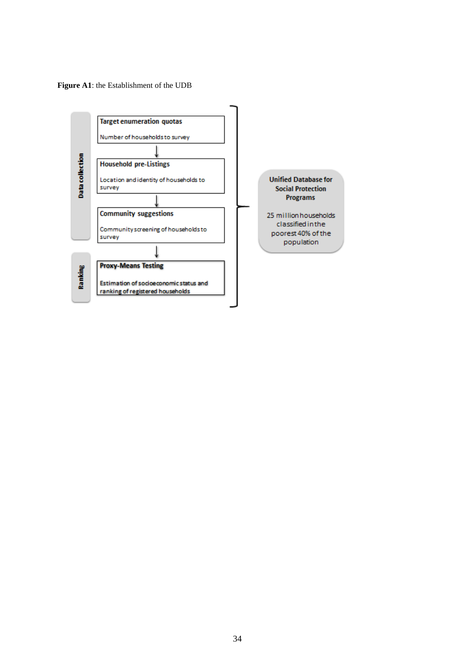